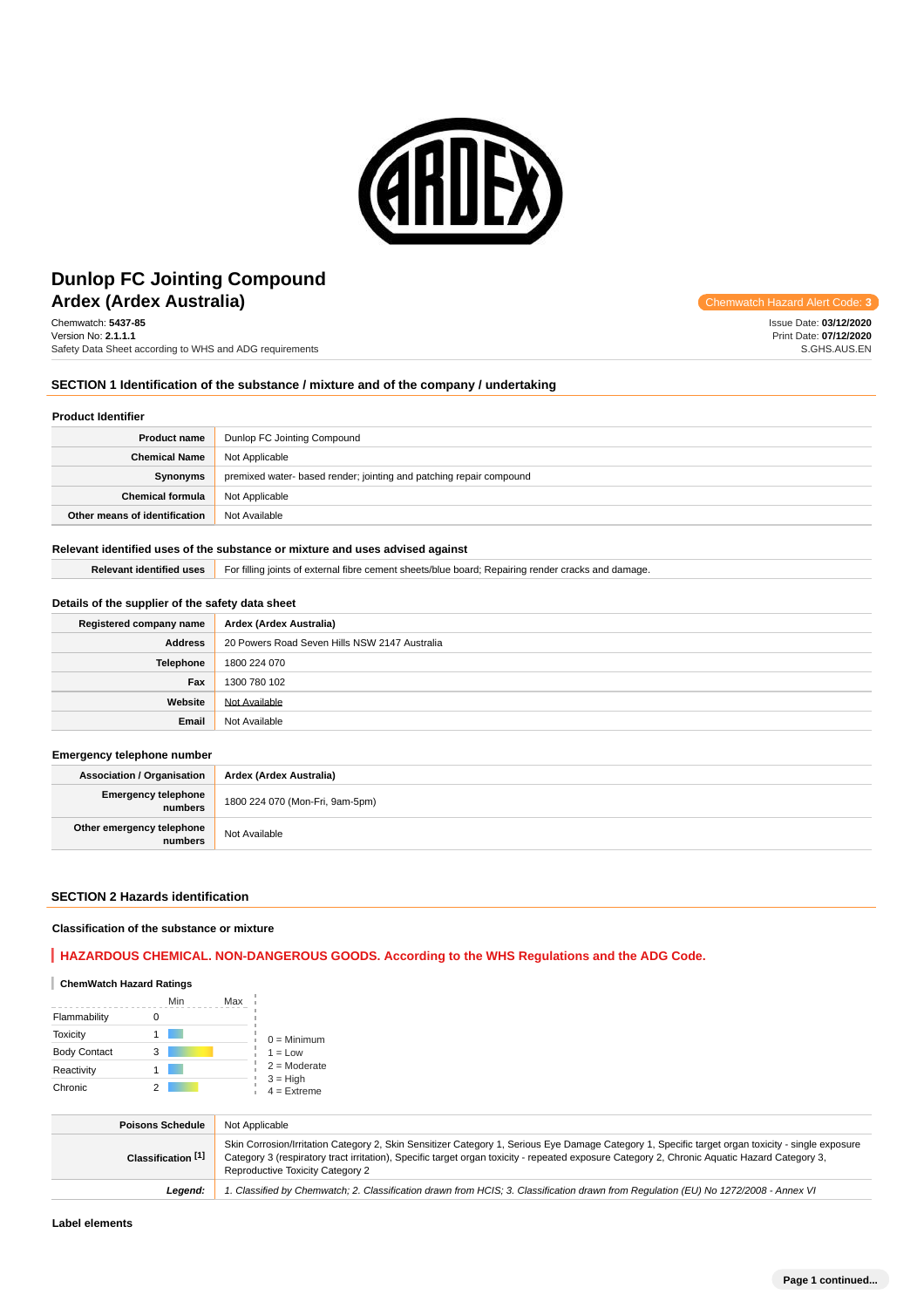

# **Ardex (Ardex Australia) Ardex Australia Code: 3 Chemwatch Hazard Alert Code: 3 Dunlop FC Jointing Compound**

Chemwatch: **5437-85** Version No: **2.1.1.1** Safety Data Sheet according to WHS and ADG requirements

# **SECTION 1 Identification of the substance / mixture and of the company / undertaking**

## **Product Identifier**

| <b>Product name</b>           | Dunlop FC Jointing Compound                                         |
|-------------------------------|---------------------------------------------------------------------|
| <b>Chemical Name</b>          | Not Applicable                                                      |
| Synonyms                      | premixed water- based render; jointing and patching repair compound |
| <b>Chemical formula</b>       | Not Applicable                                                      |
| Other means of identification | Not Available                                                       |

## **Relevant identified uses of the substance or mixture and uses advised against**

Relevant identified uses **For filling joints of external fibre cement sheets/blue board**; Repairing render cracks and damage.

## **Details of the supplier of the safety data sheet**

| Registered company name | Ardex (Ardex Australia)                       |
|-------------------------|-----------------------------------------------|
| <b>Address</b>          | 20 Powers Road Seven Hills NSW 2147 Australia |
| Telephone               | 1800 224 070                                  |
| Fax                     | 1300 780 102                                  |
| Website                 | Not Available                                 |
| Email                   | Not Available                                 |

## **Emergency telephone number**

| <b>Association / Organisation</b>     | Ardex (Ardex Australia)         |
|---------------------------------------|---------------------------------|
| <b>Emergency telephone</b><br>numbers | 1800 224 070 (Mon-Fri, 9am-5pm) |
| Other emergency telephone<br>numbers  | Not Available                   |

#### **SECTION 2 Hazards identification**

#### **Classification of the substance or mixture**

# **HAZARDOUS CHEMICAL. NON-DANGEROUS GOODS. According to the WHS Regulations and the ADG Code.**

## **ChemWatch Hazard Ratings**

|                     | Min | Max |                             |
|---------------------|-----|-----|-----------------------------|
| Flammability        |     |     |                             |
| <b>Toxicity</b>     |     |     | $0 =$ Minimum               |
| <b>Body Contact</b> | 3   |     | $1 = Low$                   |
| Reactivity          |     |     | $2 =$ Moderate              |
| Chronic             |     |     | $3 = High$<br>$4 =$ Extreme |

| <b>Poisons Schedule</b> | Not Applicable                                                                                                                                                                                                                                                                                                                        |
|-------------------------|---------------------------------------------------------------------------------------------------------------------------------------------------------------------------------------------------------------------------------------------------------------------------------------------------------------------------------------|
| Classification [1]      | Skin Corrosion/Irritation Category 2, Skin Sensitizer Category 1, Serious Eye Damage Category 1, Specific target organ toxicity - single exposure<br>Category 3 (respiratory tract irritation), Specific target organ toxicity - repeated exposure Category 2, Chronic Aquatic Hazard Category 3,<br>Reproductive Toxicity Category 2 |
| Leaend:                 | 1. Classified by Chemwatch; 2. Classification drawn from HCIS; 3. Classification drawn from Requlation (EU) No 1272/2008 - Annex VI                                                                                                                                                                                                   |

Issue Date: **03/12/2020** Print Date: **07/12/2020** S.GHS.AUS.EN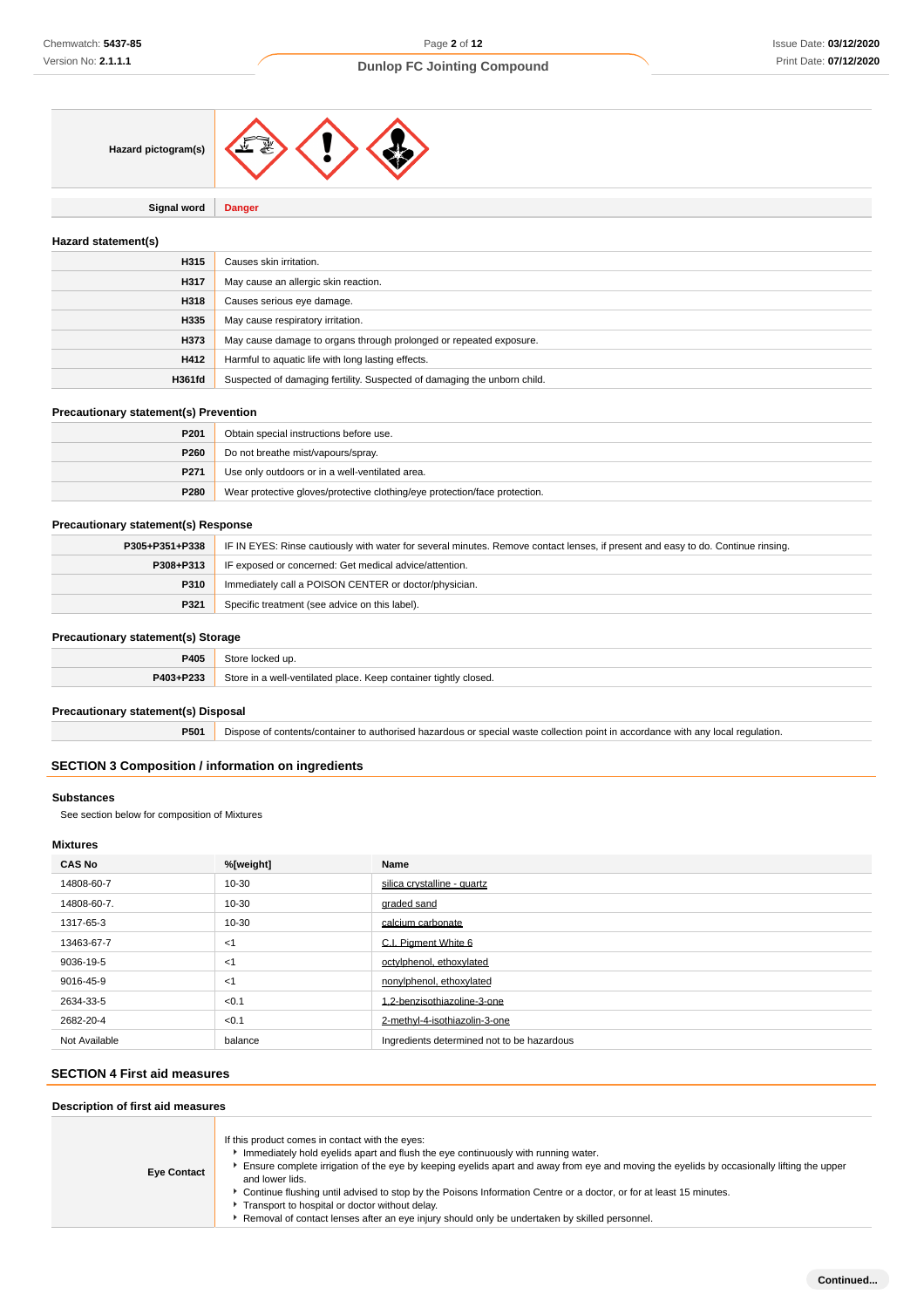

**Signal word Danger**

## **Hazard statement(s)**

| H315          | Causes skin irritation.                                                  |
|---------------|--------------------------------------------------------------------------|
| H317          | May cause an allergic skin reaction.                                     |
| H318          | Causes serious eye damage.                                               |
| H335          | May cause respiratory irritation.                                        |
| H373          | May cause damage to organs through prolonged or repeated exposure.       |
| H412          | Harmful to aquatic life with long lasting effects.                       |
| <b>H361fd</b> | Suspected of damaging fertility. Suspected of damaging the unborn child. |

## **Precautionary statement(s) Prevention**

| P <sub>201</sub> | Obtain special instructions before use.                                    |
|------------------|----------------------------------------------------------------------------|
| P260             | Do not breathe mist/vapours/spray.                                         |
| P271             | Use only outdoors or in a well-ventilated area.                            |
| P280             | Wear protective gloves/protective clothing/eye protection/face protection. |

## **Precautionary statement(s) Response**

| P305+P351+P338 | IF IN EYES: Rinse cautiously with water for several minutes. Remove contact lenses, if present and easy to do. Continue rinsing. |  |
|----------------|----------------------------------------------------------------------------------------------------------------------------------|--|
| P308+P313      | IF exposed or concerned: Get medical advice/attention.                                                                           |  |
| <b>P310</b>    | Immediately call a POISON CENTER or doctor/physician.                                                                            |  |
| P321           | Specific treatment (see advice on this label).                                                                                   |  |

## **Precautionary statement(s) Storage**

| P405      | Store locked up.                                                 |
|-----------|------------------------------------------------------------------|
| P403+P233 | Store in a well-ventilated place. Keep container tightly closed. |

## **Precautionary statement(s) Disposal**

**P501** Dispose of contents/container to authorised hazardous or special waste collection point in accordance with any local regulation.

## **SECTION 3 Composition / information on ingredients**

## **Substances**

See section below for composition of Mixtures

# **Mixtures**

| <b>CAS No</b> | %[weight] | Name                                       |
|---------------|-----------|--------------------------------------------|
| 14808-60-7    | 10-30     | silica crystalline - quartz                |
| 14808-60-7.   | 10-30     | graded sand                                |
| 1317-65-3     | 10-30     | calcium carbonate                          |
| 13463-67-7    | $<$ 1     | C.I. Piament White 6                       |
| 9036-19-5     | $<$ 1     | octylphenol, ethoxylated                   |
| 9016-45-9     | $<$ 1     | nonylphenol, ethoxylated                   |
| 2634-33-5     | < 0.1     | 1.2-benzisothiazoline-3-one                |
| 2682-20-4     | < 0.1     | 2-methyl-4-isothiazolin-3-one              |
| Not Available | balance   | Ingredients determined not to be hazardous |

# **SECTION 4 First aid measures**

| Description of first aid measures |                                                                                                                                                                                                                                                                                                                                                                                                                                                                                                                                                                                 |  |
|-----------------------------------|---------------------------------------------------------------------------------------------------------------------------------------------------------------------------------------------------------------------------------------------------------------------------------------------------------------------------------------------------------------------------------------------------------------------------------------------------------------------------------------------------------------------------------------------------------------------------------|--|
| <b>Eye Contact</b>                | If this product comes in contact with the eyes:<br>Immediately hold eyelids apart and flush the eye continuously with running water.<br>Ensure complete irrigation of the eye by keeping eyelids apart and away from eye and moving the eyelids by occasionally lifting the upper<br>and lower lids.<br>► Continue flushing until advised to stop by the Poisons Information Centre or a doctor, or for at least 15 minutes.<br>Transport to hospital or doctor without delay.<br>Removal of contact lenses after an eye injury should only be undertaken by skilled personnel. |  |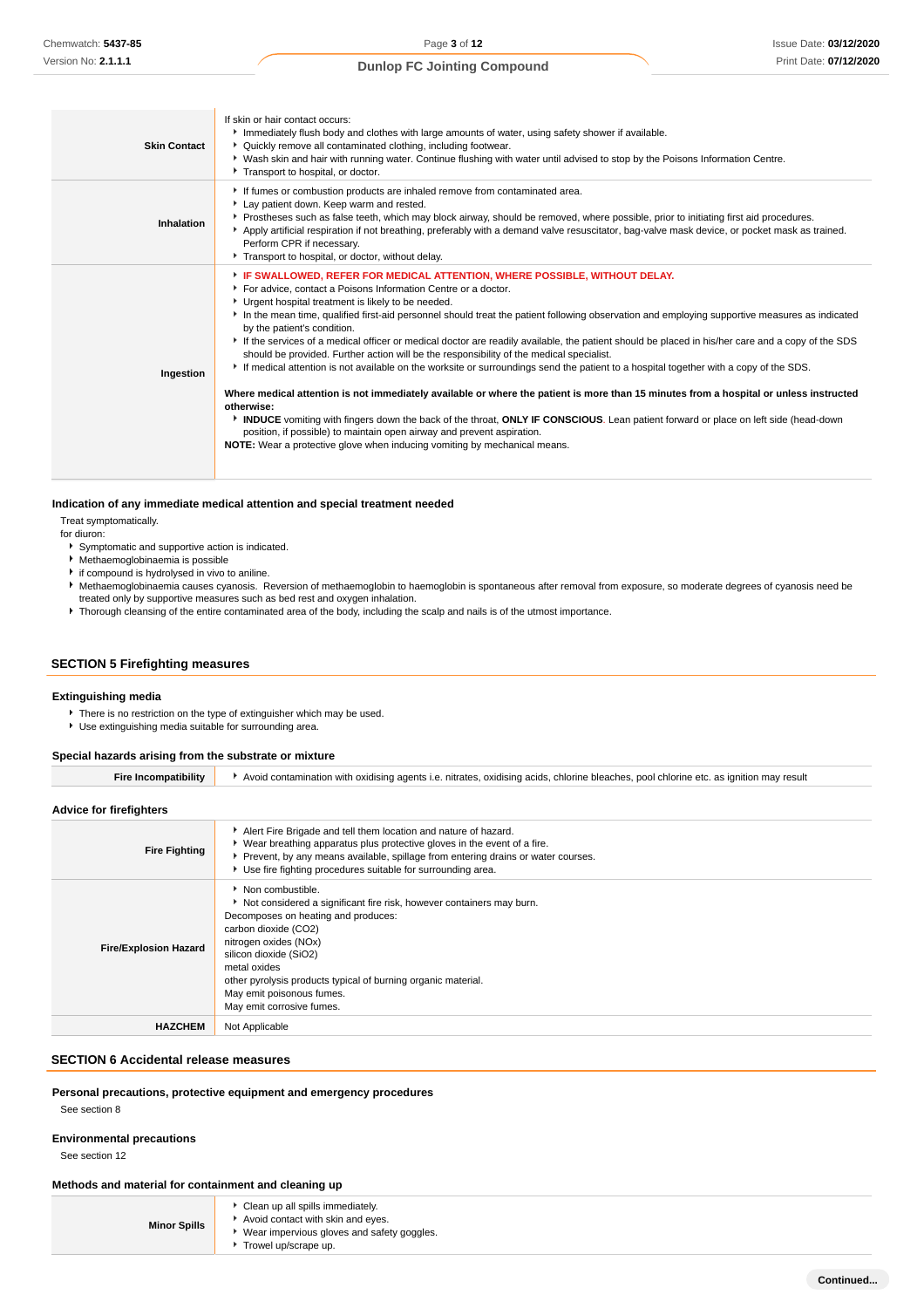| <b>Skin Contact</b> | If skin or hair contact occurs:<br>Immediately flush body and clothes with large amounts of water, using safety shower if available.<br>▶ Quickly remove all contaminated clothing, including footwear.<br>▶ Wash skin and hair with running water. Continue flushing with water until advised to stop by the Poisons Information Centre.<br>Transport to hospital, or doctor.                                                                                                                                                                                                                                                                                                                                                                                                                                                                                                                                                                                                                                                                                                                                                                                                                                                         |
|---------------------|----------------------------------------------------------------------------------------------------------------------------------------------------------------------------------------------------------------------------------------------------------------------------------------------------------------------------------------------------------------------------------------------------------------------------------------------------------------------------------------------------------------------------------------------------------------------------------------------------------------------------------------------------------------------------------------------------------------------------------------------------------------------------------------------------------------------------------------------------------------------------------------------------------------------------------------------------------------------------------------------------------------------------------------------------------------------------------------------------------------------------------------------------------------------------------------------------------------------------------------|
| Inhalation          | If fumes or combustion products are inhaled remove from contaminated area.<br>Lay patient down. Keep warm and rested.<br>▶ Prostheses such as false teeth, which may block airway, should be removed, where possible, prior to initiating first aid procedures.<br>Apply artificial respiration if not breathing, preferably with a demand valve resuscitator, bag-valve mask device, or pocket mask as trained.<br>Perform CPR if necessary.<br>Transport to hospital, or doctor, without delay.                                                                                                                                                                                                                                                                                                                                                                                                                                                                                                                                                                                                                                                                                                                                      |
| Ingestion           | F IF SWALLOWED, REFER FOR MEDICAL ATTENTION, WHERE POSSIBLE, WITHOUT DELAY.<br>For advice, contact a Poisons Information Centre or a doctor.<br>Urgent hospital treatment is likely to be needed.<br>In the mean time, qualified first-aid personnel should treat the patient following observation and employing supportive measures as indicated<br>by the patient's condition.<br>If the services of a medical officer or medical doctor are readily available, the patient should be placed in his/her care and a copy of the SDS<br>should be provided. Further action will be the responsibility of the medical specialist.<br>If medical attention is not available on the worksite or surroundings send the patient to a hospital together with a copy of the SDS.<br>Where medical attention is not immediately available or where the patient is more than 15 minutes from a hospital or unless instructed<br>otherwise:<br>INDUCE vomiting with fingers down the back of the throat, ONLY IF CONSCIOUS. Lean patient forward or place on left side (head-down<br>position, if possible) to maintain open airway and prevent aspiration.<br><b>NOTE:</b> Wear a protective glove when inducing vomiting by mechanical means. |

#### **Indication of any immediate medical attention and special treatment needed**

Treat symptomatically.

for diuron:

- Symptomatic and supportive action is indicated.
- Methaemoglobinaemia is possible
- if compound is hydrolysed in vivo to aniline.
- Methaemoglobinaemia causes cyanosis. Reversion of methaemoglobin to haemoglobin is spontaneous after removal from exposure, so moderate degrees of cyanosis need be treated only by supportive measures such as bed rest and oxygen inhalation.
- Thorough cleansing of the entire contaminated area of the body, including the scalp and nails is of the utmost importance.

## **SECTION 5 Firefighting measures**

# **Extinguishing media**

- There is no restriction on the type of extinguisher which may be used.
- Use extinguishing media suitable for surrounding area.

## **Special hazards arising from the substrate or mixture**

| ·re | oxidising<br>agents.<br>nitrates<br>acids<br>n may result<br>nool<br>chlorine<br>with<br>$\sim$<br>h atr<br>: bleaches<br>ה חחיר.<br>- -<br>ontaminatic |
|-----|---------------------------------------------------------------------------------------------------------------------------------------------------------|
|     |                                                                                                                                                         |

## **Advice for firefighters**

| <b>Fire Fighting</b>         | Alert Fire Brigade and tell them location and nature of hazard.<br>• Wear breathing apparatus plus protective gloves in the event of a fire.<br>▶ Prevent, by any means available, spillage from entering drains or water courses.<br>Use fire fighting procedures suitable for surrounding area.                                                       |
|------------------------------|---------------------------------------------------------------------------------------------------------------------------------------------------------------------------------------------------------------------------------------------------------------------------------------------------------------------------------------------------------|
| <b>Fire/Explosion Hazard</b> | • Non combustible.<br>Not considered a significant fire risk, however containers may burn.<br>Decomposes on heating and produces:<br>carbon dioxide (CO2)<br>nitrogen oxides (NOx)<br>silicon dioxide (SiO2)<br>metal oxides<br>other pyrolysis products typical of burning organic material.<br>May emit poisonous fumes.<br>May emit corrosive fumes. |
| <b>HAZCHEM</b>               | Not Applicable                                                                                                                                                                                                                                                                                                                                          |

#### **SECTION 6 Accidental release measures**

**Personal precautions, protective equipment and emergency procedures**

See section 8

# **Environmental precautions**

See section 12

**Methods and material for containment and cleaning up**

- **Minor Spills** Clean up all spills immediately.
	- Avoid contact with skin and eyes. Wear impervious gloves and safety goggles.
	- Trowel up/scrape up.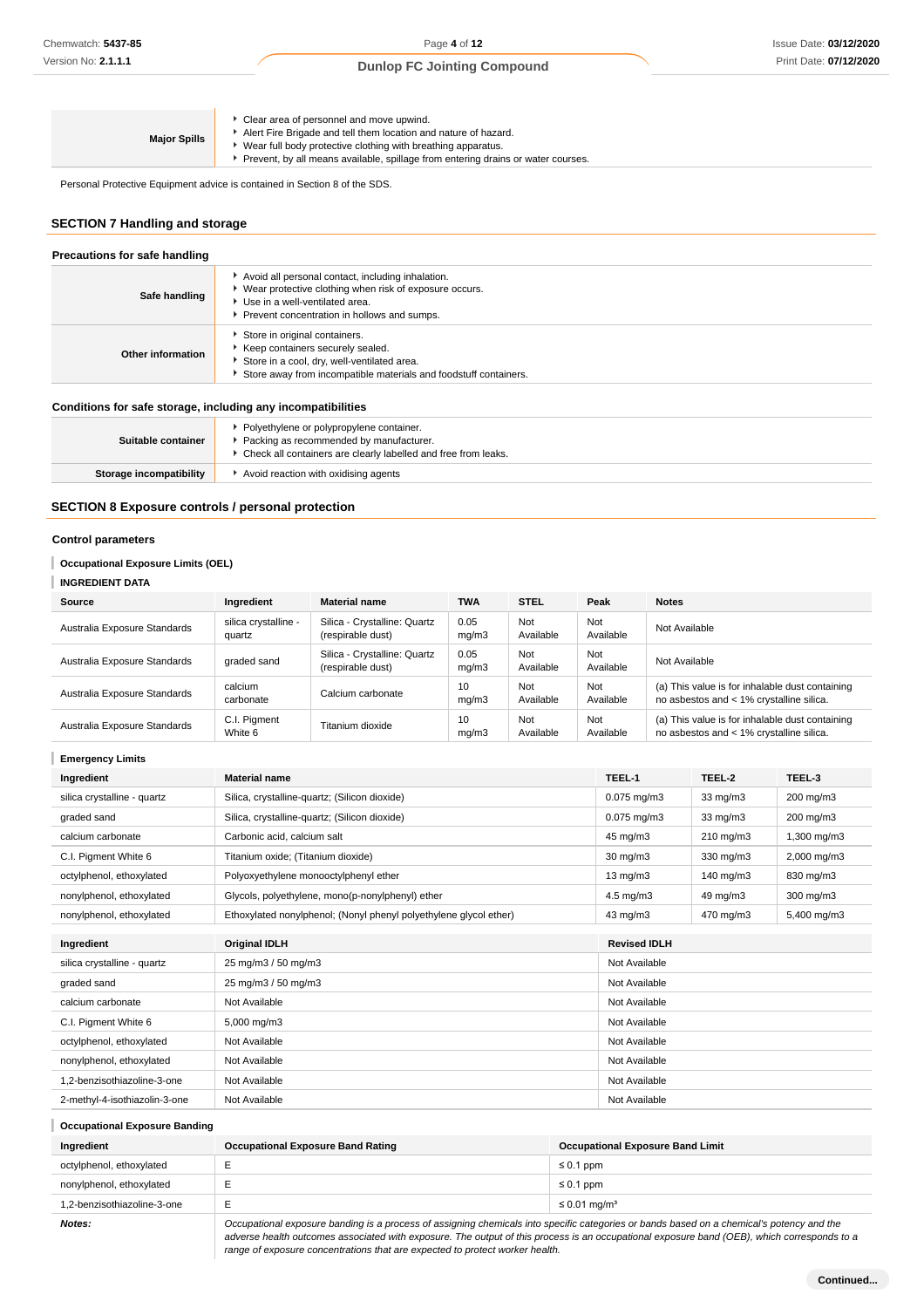| <b>Major Spills</b> | Clear area of personnel and move upwind.<br>Alert Fire Brigade and tell them location and nature of hazard.<br>Wear full body protective clothing with breathing apparatus.<br>Prevent, by all means available, spillage from entering drains or water courses. |
|---------------------|-----------------------------------------------------------------------------------------------------------------------------------------------------------------------------------------------------------------------------------------------------------------|
|---------------------|-----------------------------------------------------------------------------------------------------------------------------------------------------------------------------------------------------------------------------------------------------------------|

Personal Protective Equipment advice is contained in Section 8 of the SDS.

# **SECTION 7 Handling and storage**

| Precautions for safe handling                                |                                                                                                                                                                                                  |  |  |
|--------------------------------------------------------------|--------------------------------------------------------------------------------------------------------------------------------------------------------------------------------------------------|--|--|
| Safe handling                                                | Avoid all personal contact, including inhalation.<br>▶ Wear protective clothing when risk of exposure occurs.<br>Use in a well-ventilated area.<br>▶ Prevent concentration in hollows and sumps. |  |  |
| Other information                                            | Store in original containers.<br>Keep containers securely sealed.<br>Store in a cool, dry, well-ventilated area.<br>Store away from incompatible materials and foodstuff containers.             |  |  |
| Conditions for safe storage, including any incompatibilities |                                                                                                                                                                                                  |  |  |
| Suitable container                                           | Polyethylene or polypropylene container.<br>Packing as recommended by manufacturer.<br>• Check all containers are clearly labelled and free from leaks.                                          |  |  |

| Storage incompatibility | Avoid reaction with oxidising agents |
|-------------------------|--------------------------------------|

# **SECTION 8 Exposure controls / personal protection**

## **Control parameters**

## **Occupational Exposure Limits (OEL)**

## **INGREDIENT DATA**

| Source                       | Ingredient                     | <b>Material name</b>                              | <b>TWA</b>    | <b>STEL</b>      | Peak             | <b>Notes</b>                                                                                |
|------------------------------|--------------------------------|---------------------------------------------------|---------------|------------------|------------------|---------------------------------------------------------------------------------------------|
| Australia Exposure Standards | silica crystalline -<br>quartz | Silica - Crystalline: Quartz<br>(respirable dust) | 0.05<br>mq/m3 | Not<br>Available | Not<br>Available | Not Available                                                                               |
| Australia Exposure Standards | graded sand                    | Silica - Crystalline: Quartz<br>(respirable dust) | 0.05<br>mq/m3 | Not<br>Available | Not<br>Available | Not Available                                                                               |
| Australia Exposure Standards | calcium<br>carbonate           | Calcium carbonate                                 | 10<br>mq/m3   | Not<br>Available | Not<br>Available | (a) This value is for inhalable dust containing<br>no asbestos and < 1% crystalline silica. |
| Australia Exposure Standards | C.I. Pigment<br>White 6        | Titanium dioxide                                  | 10<br>mq/m3   | Not<br>Available | Not<br>Available | (a) This value is for inhalable dust containing<br>no asbestos and < 1% crystalline silica. |

| <b>Emergency Limits</b>       |                                                                   |                      |                   |                |
|-------------------------------|-------------------------------------------------------------------|----------------------|-------------------|----------------|
| Ingredient                    | <b>Material name</b>                                              | TEEL-1               | TEEL-2            | TEEL-3         |
| silica crystalline - quartz   | Silica, crystalline-quartz; (Silicon dioxide)                     | $0.075$ mg/m $3$     | 33 mg/m3          | 200 mg/m3      |
| graded sand                   | Silica, crystalline-quartz; (Silicon dioxide)                     | $0.075$ mg/m $3$     | $33 \text{ mg/m}$ | 200 mg/m3      |
| calcium carbonate             | Carbonic acid, calcium salt                                       | 45 mg/m3             | 210 mg/m3         | 1,300 mg/m3    |
| C.I. Pigment White 6          | Titanium oxide; (Titanium dioxide)                                | $30 \text{ mg/m}$    | 330 mg/m3         | 2,000 mg/m3    |
| octylphenol, ethoxylated      | Polyoxyethylene monooctylphenyl ether                             | $13 \text{ mg/m}$    | 140 mg/m $3$      | 830 mg/m3      |
| nonylphenol, ethoxylated      | Glycols, polyethylene, mono(p-nonylphenyl) ether                  | $4.5 \text{ mg/m}$ 3 | 49 mg/m3          | $300$ mg/m $3$ |
| nonylphenol, ethoxylated      | Ethoxylated nonylphenol; (Nonyl phenyl polyethylene glycol ether) | 43 mg/m3             | 470 mg/m3         | 5,400 mg/m3    |
| Ingredient                    | <b>Original IDLH</b>                                              | <b>Revised IDLH</b>  |                   |                |
| silica crystalline - quartz   | 25 mg/m3 / 50 mg/m3                                               | Not Available        |                   |                |
|                               |                                                                   |                      |                   |                |
| graded sand                   | 25 mg/m3 / 50 mg/m3                                               | Not Available        |                   |                |
| calcium carbonate             | Not Available                                                     | Not Available        |                   |                |
| C.I. Pigment White 6          | 5,000 mg/m3                                                       | Not Available        |                   |                |
| octylphenol, ethoxylated      | Not Available                                                     | Not Available        |                   |                |
| nonylphenol, ethoxylated      | Not Available                                                     | Not Available        |                   |                |
| 1,2-benzisothiazoline-3-one   | Not Available                                                     | Not Available        |                   |                |
| 2-methyl-4-isothiazolin-3-one | Not Available                                                     | Not Available        |                   |                |

## **Occupational Exposure Banding**

| Ingredient                  | <b>Occupational Exposure Band Rating</b>                                                                                                  | <b>Occupational Exposure Band Limit</b> |  |
|-----------------------------|-------------------------------------------------------------------------------------------------------------------------------------------|-----------------------------------------|--|
| octylphenol, ethoxylated    |                                                                                                                                           | $\leq 0.1$ ppm                          |  |
| nonylphenol, ethoxylated    |                                                                                                                                           | $\leq 0.1$ ppm                          |  |
| 1.2-benzisothiazoline-3-one |                                                                                                                                           | $\leq$ 0.01 mg/m <sup>3</sup>           |  |
| M                           | Occupational experime banding is a process of essigning ebenicals into epocitic estegaries or bands based an a ebenically petersy and the |                                         |  |

**Notes: Occupational exposure banding is a process of assigning chemicals into specific categories or bands based on a chemical's potency and the <b>Notes:**  $\blacksquare$ adverse health outcomes associated with exposure. The output of this process is an occupational exposure band (OEB), which corresponds to a range of exposure concentrations that are expected to protect worker health.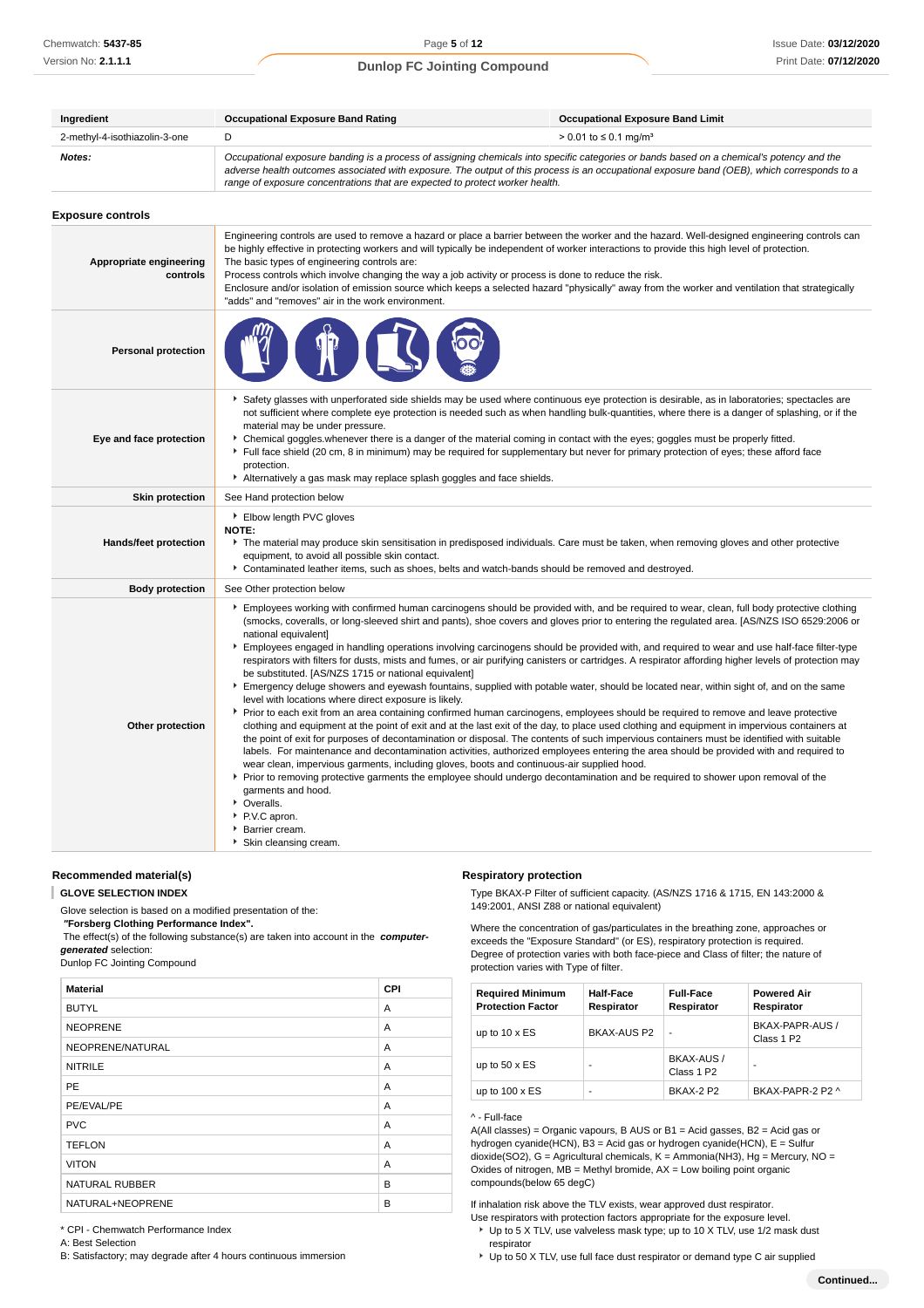| Ingredient                    | <b>Occupational Exposure Band Rating</b>                                                                                                                                                                                                                                                                                                                                 | <b>Occupational Exposure Band Limit</b> |
|-------------------------------|--------------------------------------------------------------------------------------------------------------------------------------------------------------------------------------------------------------------------------------------------------------------------------------------------------------------------------------------------------------------------|-----------------------------------------|
| 2-methyl-4-isothiazolin-3-one |                                                                                                                                                                                                                                                                                                                                                                          | > 0.01 to ≤ 0.1 mg/m <sup>3</sup>       |
| Notes:                        | Occupational exposure banding is a process of assigning chemicals into specific categories or bands based on a chemical's potency and the<br>adverse health outcomes associated with exposure. The output of this process is an occupational exposure band (OEB), which corresponds to a<br>range of exposure concentrations that are expected to protect worker health. |                                         |

| <b>Exposure controls</b> |  |
|--------------------------|--|
|--------------------------|--|

| Appropriate engineering<br>controls | Engineering controls are used to remove a hazard or place a barrier between the worker and the hazard. Well-designed engineering controls can<br>be highly effective in protecting workers and will typically be independent of worker interactions to provide this high level of protection.<br>The basic types of engineering controls are:<br>Process controls which involve changing the way a job activity or process is done to reduce the risk.<br>Enclosure and/or isolation of emission source which keeps a selected hazard "physically" away from the worker and ventilation that strategically<br>"adds" and "removes" air in the work environment.                                                                                                                                                                                                                                                                                                                                                                                                                                                                                                                                                                                                                                                                                                                                                                                                                                                                                                                                                                                                                                                                                                                                          |
|-------------------------------------|----------------------------------------------------------------------------------------------------------------------------------------------------------------------------------------------------------------------------------------------------------------------------------------------------------------------------------------------------------------------------------------------------------------------------------------------------------------------------------------------------------------------------------------------------------------------------------------------------------------------------------------------------------------------------------------------------------------------------------------------------------------------------------------------------------------------------------------------------------------------------------------------------------------------------------------------------------------------------------------------------------------------------------------------------------------------------------------------------------------------------------------------------------------------------------------------------------------------------------------------------------------------------------------------------------------------------------------------------------------------------------------------------------------------------------------------------------------------------------------------------------------------------------------------------------------------------------------------------------------------------------------------------------------------------------------------------------------------------------------------------------------------------------------------------------|
| <b>Personal protection</b>          |                                                                                                                                                                                                                                                                                                                                                                                                                                                                                                                                                                                                                                                                                                                                                                                                                                                                                                                                                                                                                                                                                                                                                                                                                                                                                                                                                                                                                                                                                                                                                                                                                                                                                                                                                                                                          |
| Eye and face protection             | ▶ Safety glasses with unperforated side shields may be used where continuous eye protection is desirable, as in laboratories; spectacles are<br>not sufficient where complete eye protection is needed such as when handling bulk-quantities, where there is a danger of splashing, or if the<br>material may be under pressure.<br>• Chemical goggles whenever there is a danger of the material coming in contact with the eyes; goggles must be properly fitted.<br>Full face shield (20 cm, 8 in minimum) may be required for supplementary but never for primary protection of eyes; these afford face<br>protection.<br>Alternatively a gas mask may replace splash goggles and face shields.                                                                                                                                                                                                                                                                                                                                                                                                                                                                                                                                                                                                                                                                                                                                                                                                                                                                                                                                                                                                                                                                                                      |
| <b>Skin protection</b>              | See Hand protection below                                                                                                                                                                                                                                                                                                                                                                                                                                                                                                                                                                                                                                                                                                                                                                                                                                                                                                                                                                                                                                                                                                                                                                                                                                                                                                                                                                                                                                                                                                                                                                                                                                                                                                                                                                                |
| Hands/feet protection               | Elbow length PVC gloves<br>NOTE:<br>The material may produce skin sensitisation in predisposed individuals. Care must be taken, when removing gloves and other protective<br>equipment, to avoid all possible skin contact.<br>Contaminated leather items, such as shoes, belts and watch-bands should be removed and destroyed.                                                                                                                                                                                                                                                                                                                                                                                                                                                                                                                                                                                                                                                                                                                                                                                                                                                                                                                                                                                                                                                                                                                                                                                                                                                                                                                                                                                                                                                                         |
| <b>Body protection</b>              | See Other protection below                                                                                                                                                                                                                                                                                                                                                                                                                                                                                                                                                                                                                                                                                                                                                                                                                                                                                                                                                                                                                                                                                                                                                                                                                                                                                                                                                                                                                                                                                                                                                                                                                                                                                                                                                                               |
| Other protection                    | Employees working with confirmed human carcinogens should be provided with, and be required to wear, clean, full body protective clothing<br>(smocks, coveralls, or long-sleeved shirt and pants), shoe covers and gloves prior to entering the regulated area. [AS/NZS ISO 6529:2006 or<br>national equivalent]<br>Employees engaged in handling operations involving carcinogens should be provided with, and required to wear and use half-face filter-type<br>respirators with filters for dusts, mists and fumes, or air purifying canisters or cartridges. A respirator affording higher levels of protection may<br>be substituted. [AS/NZS 1715 or national equivalent]<br>Emergency deluge showers and eyewash fountains, supplied with potable water, should be located near, within sight of, and on the same<br>level with locations where direct exposure is likely.<br>▶ Prior to each exit from an area containing confirmed human carcinogens, employees should be required to remove and leave protective<br>clothing and equipment at the point of exit and at the last exit of the day, to place used clothing and equipment in impervious containers at<br>the point of exit for purposes of decontamination or disposal. The contents of such impervious containers must be identified with suitable<br>labels. For maintenance and decontamination activities, authorized employees entering the area should be provided with and required to<br>wear clean, impervious garments, including gloves, boots and continuous-air supplied hood.<br>▶ Prior to removing protective garments the employee should undergo decontamination and be required to shower upon removal of the<br>garments and hood.<br>• Overalls.<br>P.V.C apron.<br>Barrier cream.<br>▶ Skin cleansing cream. |

**Recommended material(s)**

**GLOVE SELECTION INDEX**

Glove selection is based on a modified presentation of the:

 **"Forsberg Clothing Performance Index".** The effect(s) of the following substance(s) are taken into account in the **computer-**

**generated** selection:

Dunlop FC Jointing Compound

| <b>Material</b>       | <b>CPI</b> |
|-----------------------|------------|
| <b>BUTYL</b>          | A          |
| <b>NEOPRENE</b>       | A          |
| NEOPRENE/NATURAL      | A          |
| <b>NITRILE</b>        | A          |
| PE                    | A          |
| PE/EVAL/PE            | A          |
| <b>PVC</b>            | A          |
| <b>TEFLON</b>         | A          |
| <b>VITON</b>          | A          |
| <b>NATURAL RUBBER</b> | B          |
| NATURAL+NEOPRENE      | B          |

## **Respiratory protection**

Type BKAX-P Filter of sufficient capacity. (AS/NZS 1716 & 1715, EN 143:2000 & 149:2001, ANSI Z88 or national equivalent)

Where the concentration of gas/particulates in the breathing zone, approaches or exceeds the "Exposure Standard" (or ES), respiratory protection is required. Degree of protection varies with both face-piece and Class of filter; the nature of protection varies with Type of filter.

| <b>Required Minimum</b><br><b>Protection Factor</b> | <b>Half-Face</b><br>Respirator | <b>Full-Face</b><br>Respirator | <b>Powered Air</b><br>Respirator          |
|-----------------------------------------------------|--------------------------------|--------------------------------|-------------------------------------------|
| up to $10 \times ES$                                | BKAX-AUS P2                    | ٠                              | BKAX-PAPR-AUS /<br>Class 1 P <sub>2</sub> |
| up to $50 \times ES$                                |                                | BKAX-AUS /<br>Class 1 P2       | ۰                                         |
| up to $100 \times ES$                               |                                | <b>BKAX-2 P2</b>               | BKAX-PAPR-2 P2 ^                          |

#### ^ - Full-face

A(All classes) = Organic vapours, B AUS or B1 = Acid gasses, B2 = Acid gas or hydrogen cyanide(HCN), B3 = Acid gas or hydrogen cyanide(HCN), E = Sulfur dioxide(SO2), G = Agricultural chemicals, K = Ammonia(NH3), Hg = Mercury, NO = Oxides of nitrogen,  $MB =$  Methyl bromide,  $AX =$  Low boiling point organic compounds(below 65 degC)

If inhalation risk above the TLV exists, wear approved dust respirator.

- Use respirators with protection factors appropriate for the exposure level.
- ▶ Up to 5 X TLV, use valveless mask type; up to 10 X TLV, use 1/2 mask dust respirator
- Up to 50 X TLV, use full face dust respirator or demand type C air supplied

\* CPI - Chemwatch Performance Index

A: Best Selection

B: Satisfactory; may degrade after 4 hours continuous immersion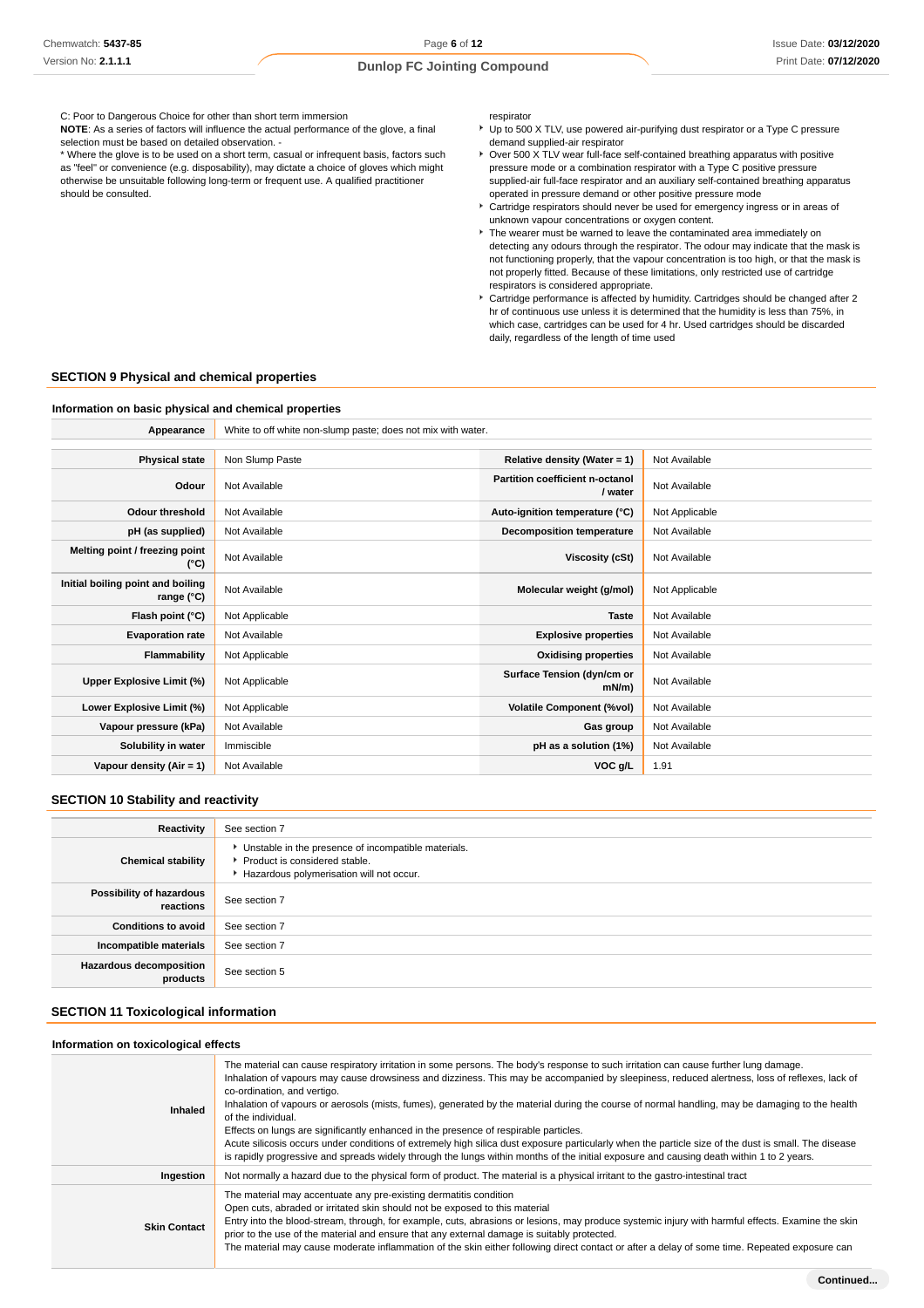C: Poor to Dangerous Choice for other than short term immersion

**NOTE**: As a series of factors will influence the actual performance of the glove, a final selection must be based on detailed observation. -

\* Where the glove is to be used on a short term, casual or infrequent basis, factors such as "feel" or convenience (e.g. disposability), may dictate a choice of gloves which might otherwise be unsuitable following long-term or frequent use. A qualified practitioner should be consulted.

respirator

- Up to 500 X TLV, use powered air-purifying dust respirator or a Type C pressure demand supplied-air respirator
- Over 500 X TLV wear full-face self-contained breathing apparatus with positive pressure mode or a combination respirator with a Type C positive pressure supplied-air full-face respirator and an auxiliary self-contained breathing apparatus operated in pressure demand or other positive pressure mode
- Cartridge respirators should never be used for emergency ingress or in areas of unknown vapour concentrations or oxygen content.
- The wearer must be warned to leave the contaminated area immediately on detecting any odours through the respirator. The odour may indicate that the mask is not functioning properly, that the vapour concentration is too high, or that the mask is not properly fitted. Because of these limitations, only restricted use of cartridge respirators is considered appropriate.
- Cartridge performance is affected by humidity. Cartridges should be changed after 2 hr of continuous use unless it is determined that the humidity is less than 75%, in which case, cartridges can be used for 4 hr. Used cartridges should be discarded daily, regardless of the length of time used

## **SECTION 9 Physical and chemical properties**

#### **Information on basic physical and chemical properties**

**Appearance** White to off white non-slump paste; does not mix with water.

| <b>Physical state</b>                           | Non Slump Paste | Relative density (Water = 1)               | Not Available  |
|-------------------------------------------------|-----------------|--------------------------------------------|----------------|
| Odour                                           | Not Available   | Partition coefficient n-octanol<br>/ water | Not Available  |
| <b>Odour threshold</b>                          | Not Available   | Auto-ignition temperature (°C)             | Not Applicable |
| pH (as supplied)                                | Not Available   | <b>Decomposition temperature</b>           | Not Available  |
| Melting point / freezing point<br>(°C)          | Not Available   | Viscosity (cSt)                            | Not Available  |
| Initial boiling point and boiling<br>range (°C) | Not Available   | Molecular weight (g/mol)                   | Not Applicable |
| Flash point (°C)                                | Not Applicable  | <b>Taste</b>                               | Not Available  |
| <b>Evaporation rate</b>                         | Not Available   | <b>Explosive properties</b>                | Not Available  |
| Flammability                                    | Not Applicable  | <b>Oxidising properties</b>                | Not Available  |
| Upper Explosive Limit (%)                       | Not Applicable  | Surface Tension (dyn/cm or<br>mN/m         | Not Available  |
| Lower Explosive Limit (%)                       | Not Applicable  | <b>Volatile Component (%vol)</b>           | Not Available  |
| Vapour pressure (kPa)                           | Not Available   | Gas group                                  | Not Available  |
| Solubility in water                             | Immiscible      | pH as a solution (1%)                      | Not Available  |
| Vapour density (Air = 1)                        | Not Available   | VOC g/L                                    | 1.91           |

## **SECTION 10 Stability and reactivity**

| Reactivity                                 | See section 7                                                                                                                        |
|--------------------------------------------|--------------------------------------------------------------------------------------------------------------------------------------|
| <b>Chemical stability</b>                  | • Unstable in the presence of incompatible materials.<br>▶ Product is considered stable.<br>Hazardous polymerisation will not occur. |
| Possibility of hazardous<br>reactions      | See section 7                                                                                                                        |
| <b>Conditions to avoid</b>                 | See section 7                                                                                                                        |
| Incompatible materials                     | See section 7                                                                                                                        |
| <b>Hazardous decomposition</b><br>products | See section 5                                                                                                                        |

## **SECTION 11 Toxicological information**

| Information on toxicological effects |                                                                                                                                                                                                                                                                                                                                                                                                                                                                                                                                                                                                                                                                                                                                                                                                                                                                                           |
|--------------------------------------|-------------------------------------------------------------------------------------------------------------------------------------------------------------------------------------------------------------------------------------------------------------------------------------------------------------------------------------------------------------------------------------------------------------------------------------------------------------------------------------------------------------------------------------------------------------------------------------------------------------------------------------------------------------------------------------------------------------------------------------------------------------------------------------------------------------------------------------------------------------------------------------------|
| <b>Inhaled</b>                       | The material can cause respiratory irritation in some persons. The body's response to such irritation can cause further lung damage.<br>Inhalation of vapours may cause drowsiness and dizziness. This may be accompanied by sleepiness, reduced alertness, loss of reflexes, lack of<br>co-ordination, and vertigo.<br>Inhalation of vapours or aerosols (mists, fumes), generated by the material during the course of normal handling, may be damaging to the health<br>of the individual.<br>Effects on lungs are significantly enhanced in the presence of respirable particles.<br>Acute silicosis occurs under conditions of extremely high silica dust exposure particularly when the particle size of the dust is small. The disease<br>is rapidly progressive and spreads widely through the lungs within months of the initial exposure and causing death within 1 to 2 years. |
| Ingestion                            | Not normally a hazard due to the physical form of product. The material is a physical irritant to the gastro-intestinal tract                                                                                                                                                                                                                                                                                                                                                                                                                                                                                                                                                                                                                                                                                                                                                             |
| <b>Skin Contact</b>                  | The material may accentuate any pre-existing dermatitis condition<br>Open cuts, abraded or irritated skin should not be exposed to this material<br>Entry into the blood-stream, through, for example, cuts, abrasions or lesions, may produce systemic injury with harmful effects. Examine the skin<br>prior to the use of the material and ensure that any external damage is suitably protected.<br>The material may cause moderate inflammation of the skin either following direct contact or after a delay of some time. Repeated exposure can                                                                                                                                                                                                                                                                                                                                     |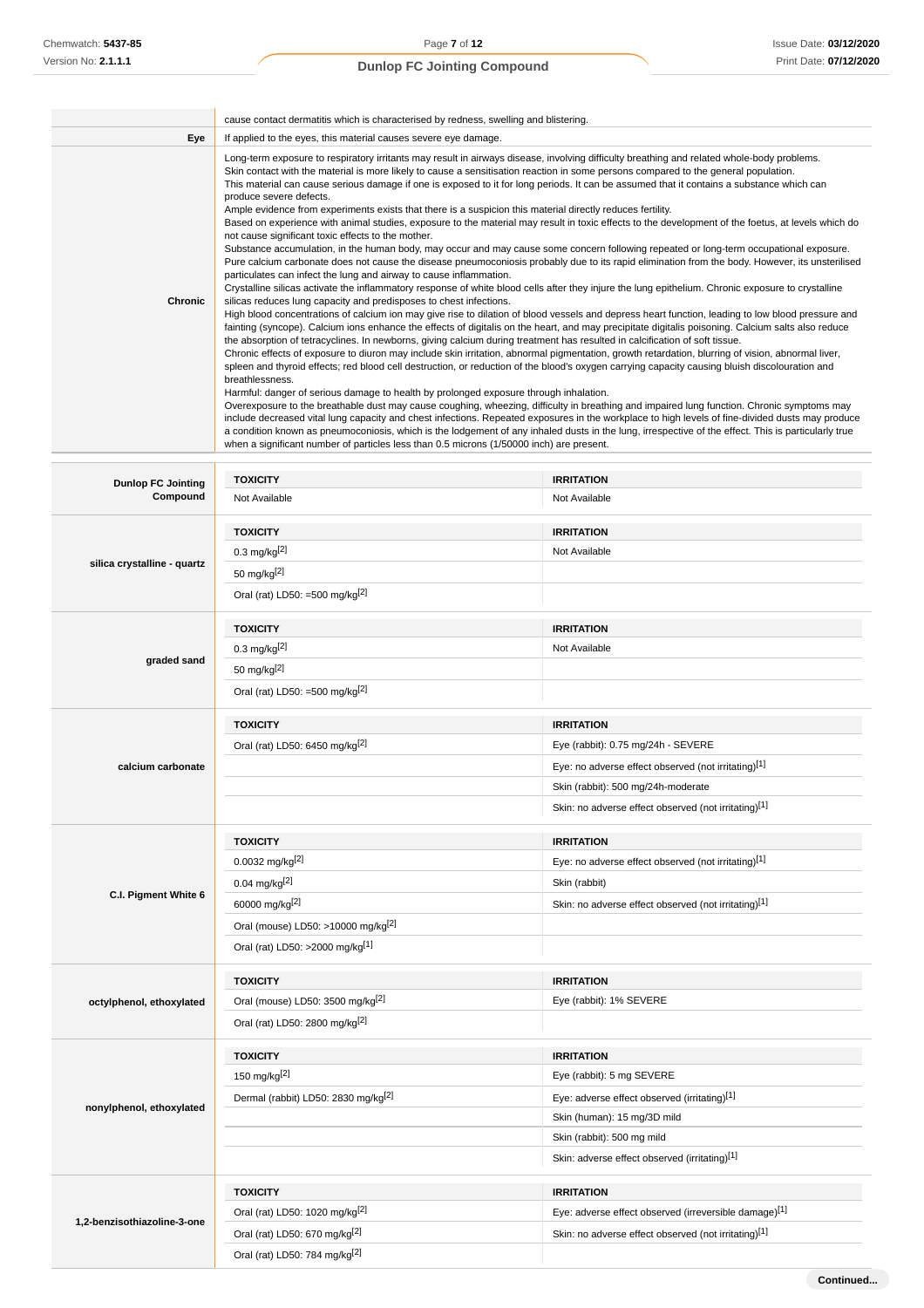**Continued...**

# **Dunlop FC Jointing Compound**

|         | cause contact dermatitis which is characterised by redness, swelling and blistering.                                                                                                                                                                                                                                                                                                                                                                                                                                                                                                                                                                                                                                                                                                                                                                                                                                                                                                                                                                                                                                                                                                                                                                                                                                                                                                                                                                                                                                                                                                                                                                                                                                                                                                                                                                                                                                                                                                                                                                                                                                                                                                                                                                                                                                                                                                                                                                                                                                                                                                                                                                                                                                                                                                                 |
|---------|------------------------------------------------------------------------------------------------------------------------------------------------------------------------------------------------------------------------------------------------------------------------------------------------------------------------------------------------------------------------------------------------------------------------------------------------------------------------------------------------------------------------------------------------------------------------------------------------------------------------------------------------------------------------------------------------------------------------------------------------------------------------------------------------------------------------------------------------------------------------------------------------------------------------------------------------------------------------------------------------------------------------------------------------------------------------------------------------------------------------------------------------------------------------------------------------------------------------------------------------------------------------------------------------------------------------------------------------------------------------------------------------------------------------------------------------------------------------------------------------------------------------------------------------------------------------------------------------------------------------------------------------------------------------------------------------------------------------------------------------------------------------------------------------------------------------------------------------------------------------------------------------------------------------------------------------------------------------------------------------------------------------------------------------------------------------------------------------------------------------------------------------------------------------------------------------------------------------------------------------------------------------------------------------------------------------------------------------------------------------------------------------------------------------------------------------------------------------------------------------------------------------------------------------------------------------------------------------------------------------------------------------------------------------------------------------------------------------------------------------------------------------------------------------------|
| Eye     | If applied to the eyes, this material causes severe eye damage.                                                                                                                                                                                                                                                                                                                                                                                                                                                                                                                                                                                                                                                                                                                                                                                                                                                                                                                                                                                                                                                                                                                                                                                                                                                                                                                                                                                                                                                                                                                                                                                                                                                                                                                                                                                                                                                                                                                                                                                                                                                                                                                                                                                                                                                                                                                                                                                                                                                                                                                                                                                                                                                                                                                                      |
| Chronic | Long-term exposure to respiratory irritants may result in airways disease, involving difficulty breathing and related whole-body problems.<br>Skin contact with the material is more likely to cause a sensitisation reaction in some persons compared to the general population.<br>This material can cause serious damage if one is exposed to it for long periods. It can be assumed that it contains a substance which can<br>produce severe defects.<br>Ample evidence from experiments exists that there is a suspicion this material directly reduces fertility.<br>Based on experience with animal studies, exposure to the material may result in toxic effects to the development of the foetus, at levels which do<br>not cause significant toxic effects to the mother.<br>Substance accumulation, in the human body, may occur and may cause some concern following repeated or long-term occupational exposure.<br>Pure calcium carbonate does not cause the disease pneumoconiosis probably due to its rapid elimination from the body. However, its unsterilised<br>particulates can infect the lung and airway to cause inflammation.<br>Crystalline silicas activate the inflammatory response of white blood cells after they injure the lung epithelium. Chronic exposure to crystalline<br>silicas reduces lung capacity and predisposes to chest infections.<br>High blood concentrations of calcium ion may give rise to dilation of blood vessels and depress heart function, leading to low blood pressure and<br>fainting (syncope). Calcium ions enhance the effects of digitalis on the heart, and may precipitate digitalis poisoning. Calcium salts also reduce<br>the absorption of tetracyclines. In newborns, giving calcium during treatment has resulted in calcification of soft tissue.<br>Chronic effects of exposure to diuron may include skin irritation, abnormal pigmentation, growth retardation, blurring of vision, abnormal liver,<br>spleen and thyroid effects; red blood cell destruction, or reduction of the blood's oxygen carrying capacity causing bluish discolouration and<br>breathlessness.<br>Harmful: danger of serious damage to health by prolonged exposure through inhalation.<br>Overexposure to the breathable dust may cause coughing, wheezing, difficulty in breathing and impaired lung function. Chronic symptoms may<br>include decreased vital lung capacity and chest infections. Repeated exposures in the workplace to high levels of fine-divided dusts may produce<br>a condition known as pneumoconiosis, which is the lodgement of any inhaled dusts in the lung, irrespective of the effect. This is particularly true<br>when a significant number of particles less than 0.5 microns (1/50000 inch) are present. |

| Compound<br>Not Available<br>Not Available<br><b>TOXICITY</b><br><b>IRRITATION</b><br>$0.3 \text{ mg/kg}^{[2]}$<br>Not Available<br>silica crystalline - quartz<br>50 mg/kg[2]<br>Oral (rat) LD50: =500 mg/kg $^{[2]}$<br><b>TOXICITY</b><br><b>IRRITATION</b><br>$0.3 \text{ mg/kg}^{[2]}$<br>Not Available<br>graded sand<br>50 mg/kg[2]<br>Oral (rat) LD50: =500 mg/kg <sup>[2]</sup><br><b>TOXICITY</b><br><b>IRRITATION</b><br>Oral (rat) LD50: 6450 mg/kg <sup>[2]</sup><br>Eye (rabbit): 0.75 mg/24h - SEVERE<br>Eye: no adverse effect observed (not irritating)[1]<br>calcium carbonate<br>Skin (rabbit): 500 mg/24h-moderate<br>Skin: no adverse effect observed (not irritating)[1]<br><b>TOXICITY</b><br><b>IRRITATION</b> |
|----------------------------------------------------------------------------------------------------------------------------------------------------------------------------------------------------------------------------------------------------------------------------------------------------------------------------------------------------------------------------------------------------------------------------------------------------------------------------------------------------------------------------------------------------------------------------------------------------------------------------------------------------------------------------------------------------------------------------------------|
|                                                                                                                                                                                                                                                                                                                                                                                                                                                                                                                                                                                                                                                                                                                                        |
|                                                                                                                                                                                                                                                                                                                                                                                                                                                                                                                                                                                                                                                                                                                                        |
|                                                                                                                                                                                                                                                                                                                                                                                                                                                                                                                                                                                                                                                                                                                                        |
|                                                                                                                                                                                                                                                                                                                                                                                                                                                                                                                                                                                                                                                                                                                                        |
|                                                                                                                                                                                                                                                                                                                                                                                                                                                                                                                                                                                                                                                                                                                                        |
|                                                                                                                                                                                                                                                                                                                                                                                                                                                                                                                                                                                                                                                                                                                                        |
|                                                                                                                                                                                                                                                                                                                                                                                                                                                                                                                                                                                                                                                                                                                                        |
|                                                                                                                                                                                                                                                                                                                                                                                                                                                                                                                                                                                                                                                                                                                                        |
|                                                                                                                                                                                                                                                                                                                                                                                                                                                                                                                                                                                                                                                                                                                                        |
|                                                                                                                                                                                                                                                                                                                                                                                                                                                                                                                                                                                                                                                                                                                                        |
|                                                                                                                                                                                                                                                                                                                                                                                                                                                                                                                                                                                                                                                                                                                                        |
|                                                                                                                                                                                                                                                                                                                                                                                                                                                                                                                                                                                                                                                                                                                                        |
|                                                                                                                                                                                                                                                                                                                                                                                                                                                                                                                                                                                                                                                                                                                                        |
|                                                                                                                                                                                                                                                                                                                                                                                                                                                                                                                                                                                                                                                                                                                                        |
|                                                                                                                                                                                                                                                                                                                                                                                                                                                                                                                                                                                                                                                                                                                                        |
| 0.0032 mg/kg <sup>[2]</sup><br>Eye: no adverse effect observed (not irritating)[1]                                                                                                                                                                                                                                                                                                                                                                                                                                                                                                                                                                                                                                                     |
| 0.04 mg/kg <sup>[2]</sup><br>Skin (rabbit)                                                                                                                                                                                                                                                                                                                                                                                                                                                                                                                                                                                                                                                                                             |
| C.I. Pigment White 6<br>60000 mg/kg[2]<br>Skin: no adverse effect observed (not irritating)[1]                                                                                                                                                                                                                                                                                                                                                                                                                                                                                                                                                                                                                                         |
| Oral (mouse) LD50: >10000 mg/kg <sup>[2]</sup>                                                                                                                                                                                                                                                                                                                                                                                                                                                                                                                                                                                                                                                                                         |
| Oral (rat) LD50: >2000 mg/kg[1]                                                                                                                                                                                                                                                                                                                                                                                                                                                                                                                                                                                                                                                                                                        |
| <b>TOXICITY</b><br><b>IRRITATION</b>                                                                                                                                                                                                                                                                                                                                                                                                                                                                                                                                                                                                                                                                                                   |
| Oral (mouse) LD50: 3500 mg/kg <sup>[2]</sup><br>Eye (rabbit): 1% SEVERE<br>octylphenol, ethoxylated                                                                                                                                                                                                                                                                                                                                                                                                                                                                                                                                                                                                                                    |
| Oral (rat) LD50: 2800 mg/kg[2]                                                                                                                                                                                                                                                                                                                                                                                                                                                                                                                                                                                                                                                                                                         |
| <b>TOXICITY</b><br><b>IRRITATION</b>                                                                                                                                                                                                                                                                                                                                                                                                                                                                                                                                                                                                                                                                                                   |
| 150 mg/kg[2]<br>Eye (rabbit): 5 mg SEVERE                                                                                                                                                                                                                                                                                                                                                                                                                                                                                                                                                                                                                                                                                              |
| Eye: adverse effect observed (irritating)[1]<br>Dermal (rabbit) LD50: 2830 mg/kg <sup>[2]</sup>                                                                                                                                                                                                                                                                                                                                                                                                                                                                                                                                                                                                                                        |
| nonylphenol, ethoxylated<br>Skin (human): 15 mg/3D mild                                                                                                                                                                                                                                                                                                                                                                                                                                                                                                                                                                                                                                                                                |
|                                                                                                                                                                                                                                                                                                                                                                                                                                                                                                                                                                                                                                                                                                                                        |
| Skin (rabbit): 500 mg mild                                                                                                                                                                                                                                                                                                                                                                                                                                                                                                                                                                                                                                                                                                             |
| Skin: adverse effect observed (irritating)[1]                                                                                                                                                                                                                                                                                                                                                                                                                                                                                                                                                                                                                                                                                          |
| <b>TOXICITY</b><br><b>IRRITATION</b>                                                                                                                                                                                                                                                                                                                                                                                                                                                                                                                                                                                                                                                                                                   |
| Oral (rat) LD50: 1020 mg/kg <sup>[2]</sup><br>Eye: adverse effect observed (irreversible damage)[1]                                                                                                                                                                                                                                                                                                                                                                                                                                                                                                                                                                                                                                    |
| 1,2-benzisothiazoline-3-one<br>Skin: no adverse effect observed (not irritating)[1]<br>Oral (rat) LD50: 670 mg/kg <sup>[2]</sup>                                                                                                                                                                                                                                                                                                                                                                                                                                                                                                                                                                                                       |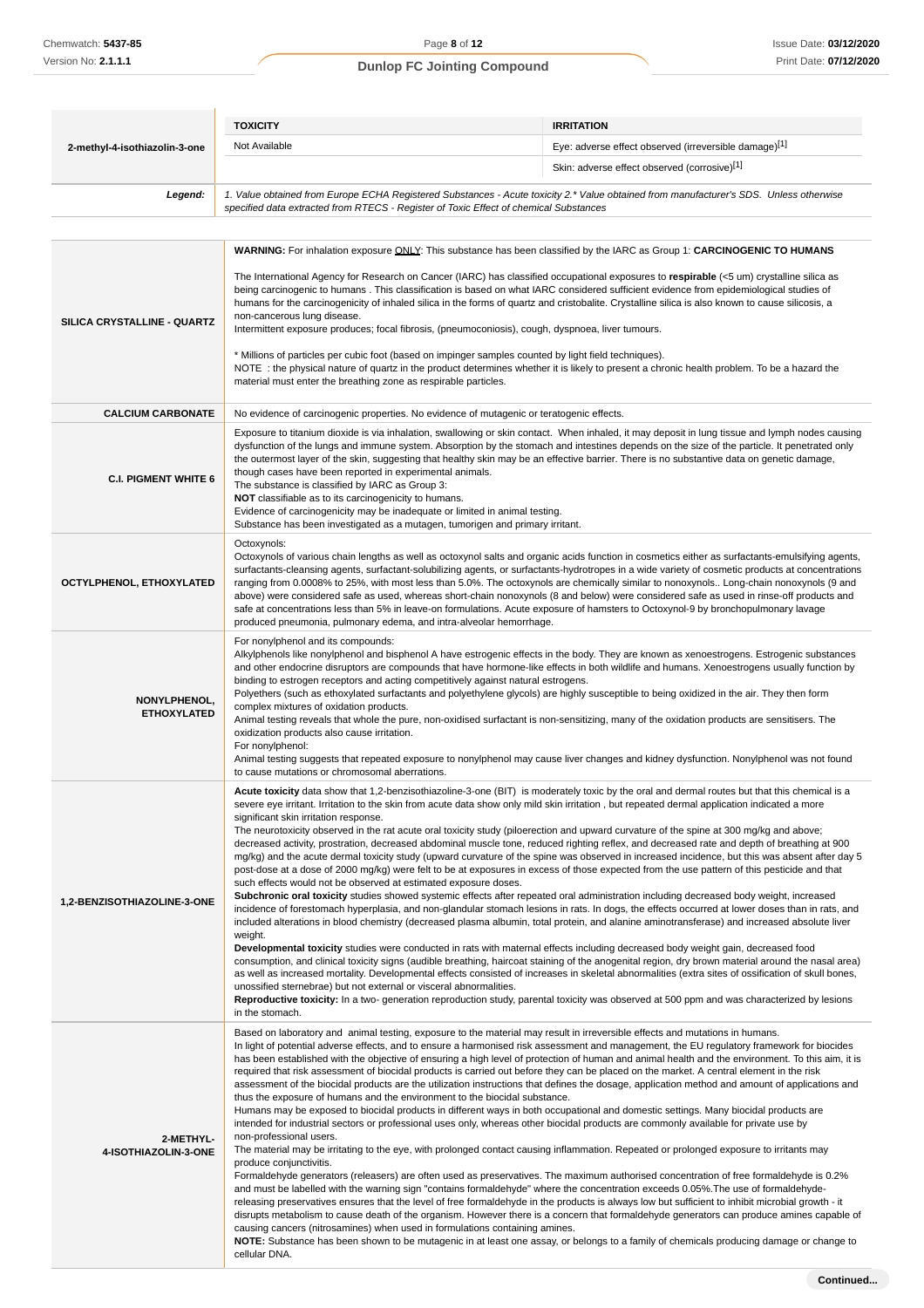|                                    | <b>TOXICITY</b>                                                                                                                                                                                                                                                                                                                                                                                                                                                                                                                                                                                                                                                                                                                                                                                                                                                                                                                                                                                                                                                                                                                                                                                                                                                                                                                                                                                                                                                                                                                                                                                                                                                                                                                                                                                                                                                                                                                                                                                                                                                                                          | <b>IRRITATION</b>                                                                                                                                                                                                                                                                                                                                                                                                                                                                                                                                                                                                                                                                                                                                            |  |
|------------------------------------|----------------------------------------------------------------------------------------------------------------------------------------------------------------------------------------------------------------------------------------------------------------------------------------------------------------------------------------------------------------------------------------------------------------------------------------------------------------------------------------------------------------------------------------------------------------------------------------------------------------------------------------------------------------------------------------------------------------------------------------------------------------------------------------------------------------------------------------------------------------------------------------------------------------------------------------------------------------------------------------------------------------------------------------------------------------------------------------------------------------------------------------------------------------------------------------------------------------------------------------------------------------------------------------------------------------------------------------------------------------------------------------------------------------------------------------------------------------------------------------------------------------------------------------------------------------------------------------------------------------------------------------------------------------------------------------------------------------------------------------------------------------------------------------------------------------------------------------------------------------------------------------------------------------------------------------------------------------------------------------------------------------------------------------------------------------------------------------------------------|--------------------------------------------------------------------------------------------------------------------------------------------------------------------------------------------------------------------------------------------------------------------------------------------------------------------------------------------------------------------------------------------------------------------------------------------------------------------------------------------------------------------------------------------------------------------------------------------------------------------------------------------------------------------------------------------------------------------------------------------------------------|--|
| 2-methyl-4-isothiazolin-3-one      | Not Available                                                                                                                                                                                                                                                                                                                                                                                                                                                                                                                                                                                                                                                                                                                                                                                                                                                                                                                                                                                                                                                                                                                                                                                                                                                                                                                                                                                                                                                                                                                                                                                                                                                                                                                                                                                                                                                                                                                                                                                                                                                                                            | Eye: adverse effect observed (irreversible damage)[1]                                                                                                                                                                                                                                                                                                                                                                                                                                                                                                                                                                                                                                                                                                        |  |
|                                    |                                                                                                                                                                                                                                                                                                                                                                                                                                                                                                                                                                                                                                                                                                                                                                                                                                                                                                                                                                                                                                                                                                                                                                                                                                                                                                                                                                                                                                                                                                                                                                                                                                                                                                                                                                                                                                                                                                                                                                                                                                                                                                          | Skin: adverse effect observed (corrosive)[1]                                                                                                                                                                                                                                                                                                                                                                                                                                                                                                                                                                                                                                                                                                                 |  |
| Legend:                            | 1. Value obtained from Europe ECHA Registered Substances - Acute toxicity 2.* Value obtained from manufacturer's SDS. Unless otherwise<br>specified data extracted from RTECS - Register of Toxic Effect of chemical Substances                                                                                                                                                                                                                                                                                                                                                                                                                                                                                                                                                                                                                                                                                                                                                                                                                                                                                                                                                                                                                                                                                                                                                                                                                                                                                                                                                                                                                                                                                                                                                                                                                                                                                                                                                                                                                                                                          |                                                                                                                                                                                                                                                                                                                                                                                                                                                                                                                                                                                                                                                                                                                                                              |  |
|                                    |                                                                                                                                                                                                                                                                                                                                                                                                                                                                                                                                                                                                                                                                                                                                                                                                                                                                                                                                                                                                                                                                                                                                                                                                                                                                                                                                                                                                                                                                                                                                                                                                                                                                                                                                                                                                                                                                                                                                                                                                                                                                                                          |                                                                                                                                                                                                                                                                                                                                                                                                                                                                                                                                                                                                                                                                                                                                                              |  |
|                                    | <b>WARNING:</b> For inhalation exposure <i>QNLY</i> : This substance has been classified by the IARC as Group 1: CARCINOGENIC TO HUMANS                                                                                                                                                                                                                                                                                                                                                                                                                                                                                                                                                                                                                                                                                                                                                                                                                                                                                                                                                                                                                                                                                                                                                                                                                                                                                                                                                                                                                                                                                                                                                                                                                                                                                                                                                                                                                                                                                                                                                                  |                                                                                                                                                                                                                                                                                                                                                                                                                                                                                                                                                                                                                                                                                                                                                              |  |
| SILICA CRYSTALLINE - QUARTZ        | The International Agency for Research on Cancer (IARC) has classified occupational exposures to respirable $\leq$ 5 um) crystalline silica as<br>being carcinogenic to humans. This classification is based on what IARC considered sufficient evidence from epidemiological studies of<br>humans for the carcinogenicity of inhaled silica in the forms of quartz and cristobalite. Crystalline silica is also known to cause silicosis, a<br>non-cancerous lung disease.<br>Intermittent exposure produces; focal fibrosis, (pneumoconiosis), cough, dyspnoea, liver tumours.<br>* Millions of particles per cubic foot (based on impinger samples counted by light field techniques).<br>NOTE: the physical nature of quartz in the product determines whether it is likely to present a chronic health problem. To be a hazard the<br>material must enter the breathing zone as respirable particles.                                                                                                                                                                                                                                                                                                                                                                                                                                                                                                                                                                                                                                                                                                                                                                                                                                                                                                                                                                                                                                                                                                                                                                                                |                                                                                                                                                                                                                                                                                                                                                                                                                                                                                                                                                                                                                                                                                                                                                              |  |
| <b>CALCIUM CARBONATE</b>           | No evidence of carcinogenic properties. No evidence of mutagenic or teratogenic effects.                                                                                                                                                                                                                                                                                                                                                                                                                                                                                                                                                                                                                                                                                                                                                                                                                                                                                                                                                                                                                                                                                                                                                                                                                                                                                                                                                                                                                                                                                                                                                                                                                                                                                                                                                                                                                                                                                                                                                                                                                 |                                                                                                                                                                                                                                                                                                                                                                                                                                                                                                                                                                                                                                                                                                                                                              |  |
| <b>C.I. PIGMENT WHITE 6</b>        | the outermost layer of the skin, suggesting that healthy skin may be an effective barrier. There is no substantive data on genetic damage,<br>though cases have been reported in experimental animals.<br>The substance is classified by IARC as Group 3:<br>NOT classifiable as to its carcinogenicity to humans.<br>Evidence of carcinogenicity may be inadequate or limited in animal testing.<br>Substance has been investigated as a mutagen, tumorigen and primary irritant.                                                                                                                                                                                                                                                                                                                                                                                                                                                                                                                                                                                                                                                                                                                                                                                                                                                                                                                                                                                                                                                                                                                                                                                                                                                                                                                                                                                                                                                                                                                                                                                                                       | Exposure to titanium dioxide is via inhalation, swallowing or skin contact. When inhaled, it may deposit in lung tissue and lymph nodes causing<br>dysfunction of the lungs and immune system. Absorption by the stomach and intestines depends on the size of the particle. It penetrated only                                                                                                                                                                                                                                                                                                                                                                                                                                                              |  |
| OCTYLPHENOL, ETHOXYLATED           | Octoxynols:<br>Octoxynols of various chain lengths as well as octoxynol salts and organic acids function in cosmetics either as surfactants-emulsifying agents,<br>surfactants-cleansing agents, surfactant-solubilizing agents, or surfactants-hydrotropes in a wide variety of cosmetic products at concentrations<br>ranging from 0.0008% to 25%, with most less than 5.0%. The octoxynols are chemically similar to nonoxynols Long-chain nonoxynols (9 and<br>above) were considered safe as used, whereas short-chain nonoxynols (8 and below) were considered safe as used in rinse-off products and<br>safe at concentrations less than 5% in leave-on formulations. Acute exposure of hamsters to Octoxynol-9 by bronchopulmonary lavage<br>produced pneumonia, pulmonary edema, and intra-alveolar hemorrhage.                                                                                                                                                                                                                                                                                                                                                                                                                                                                                                                                                                                                                                                                                                                                                                                                                                                                                                                                                                                                                                                                                                                                                                                                                                                                                 |                                                                                                                                                                                                                                                                                                                                                                                                                                                                                                                                                                                                                                                                                                                                                              |  |
| NONYLPHENOL,<br><b>ETHOXYLATED</b> | For nonylphenol and its compounds:<br>Alkylphenols like nonylphenol and bisphenol A have estrogenic effects in the body. They are known as xenoestrogens. Estrogenic substances<br>and other endocrine disruptors are compounds that have hormone-like effects in both wildlife and humans. Xenoestrogens usually function by<br>binding to estrogen receptors and acting competitively against natural estrogens.<br>Polyethers (such as ethoxylated surfactants and polyethylene glycols) are highly susceptible to being oxidized in the air. They then form<br>complex mixtures of oxidation products.<br>Animal testing reveals that whole the pure, non-oxidised surfactant is non-sensitizing, many of the oxidation products are sensitisers. The<br>oxidization products also cause irritation.<br>For nonylphenol:<br>Animal testing suggests that repeated exposure to nonylphenol may cause liver changes and kidney dysfunction. Nonylphenol was not found<br>to cause mutations or chromosomal aberrations.                                                                                                                                                                                                                                                                                                                                                                                                                                                                                                                                                                                                                                                                                                                                                                                                                                                                                                                                                                                                                                                                                |                                                                                                                                                                                                                                                                                                                                                                                                                                                                                                                                                                                                                                                                                                                                                              |  |
| 1,2-BENZISOTHIAZOLINE-3-ONE        | Acute toxicity data show that 1,2-benzisothiazoline-3-one (BIT) is moderately toxic by the oral and dermal routes but that this chemical is a<br>severe eye irritant. Irritation to the skin from acute data show only mild skin irritation, but repeated dermal application indicated a more<br>significant skin irritation response.<br>The neurotoxicity observed in the rat acute oral toxicity study (piloerection and upward curvature of the spine at 300 mg/kg and above;<br>decreased activity, prostration, decreased abdominal muscle tone, reduced righting reflex, and decreased rate and depth of breathing at 900<br>post-dose at a dose of 2000 mg/kg) were felt to be at exposures in excess of those expected from the use pattern of this pesticide and that<br>such effects would not be observed at estimated exposure doses.<br>Subchronic oral toxicity studies showed systemic effects after repeated oral administration including decreased body weight, increased<br>included alterations in blood chemistry (decreased plasma albumin, total protein, and alanine aminotransferase) and increased absolute liver<br>weight.<br>Developmental toxicity studies were conducted in rats with maternal effects including decreased body weight gain, decreased food<br>unossified sternebrae) but not external or visceral abnormalities.<br>in the stomach.                                                                                                                                                                                                                                                                                                                                                                                                                                                                                                                                                                                                                                                                                                                     | mg/kg) and the acute dermal toxicity study (upward curvature of the spine was observed in increased incidence, but this was absent after day 5<br>incidence of forestomach hyperplasia, and non-glandular stomach lesions in rats. In dogs, the effects occurred at lower doses than in rats, and<br>consumption, and clinical toxicity signs (audible breathing, haircoat staining of the anogenital region, dry brown material around the nasal area)<br>as well as increased mortality. Developmental effects consisted of increases in skeletal abnormalities (extra sites of ossification of skull bones,<br>Reproductive toxicity: In a two- generation reproduction study, parental toxicity was observed at 500 ppm and was characterized by lesions |  |
| 2-METHYL-<br>4-ISOTHIAZOLIN-3-ONE  | Based on laboratory and animal testing, exposure to the material may result in irreversible effects and mutations in humans.<br>In light of potential adverse effects, and to ensure a harmonised risk assessment and management, the EU regulatory framework for biocides<br>has been established with the objective of ensuring a high level of protection of human and animal health and the environment. To this aim, it is<br>required that risk assessment of biocidal products is carried out before they can be placed on the market. A central element in the risk<br>assessment of the biocidal products are the utilization instructions that defines the dosage, application method and amount of applications and<br>thus the exposure of humans and the environment to the biocidal substance.<br>Humans may be exposed to biocidal products in different ways in both occupational and domestic settings. Many biocidal products are<br>intended for industrial sectors or professional uses only, whereas other biocidal products are commonly available for private use by<br>non-professional users.<br>The material may be irritating to the eye, with prolonged contact causing inflammation. Repeated or prolonged exposure to irritants may<br>produce conjunctivitis.<br>Formaldehyde generators (releasers) are often used as preservatives. The maximum authorised concentration of free formaldehyde is 0.2%<br>and must be labelled with the warning sign "contains formaldehyde" where the concentration exceeds 0.05%. The use of formaldehyde-<br>releasing preservatives ensures that the level of free formaldehyde in the products is always low but sufficient to inhibit microbial growth - it<br>disrupts metabolism to cause death of the organism. However there is a concern that formaldehyde generators can produce amines capable of<br>causing cancers (nitrosamines) when used in formulations containing amines.<br>NOTE: Substance has been shown to be mutagenic in at least one assay, or belongs to a family of chemicals producing damage or change to |                                                                                                                                                                                                                                                                                                                                                                                                                                                                                                                                                                                                                                                                                                                                                              |  |

cellular DNA.

**Continued...**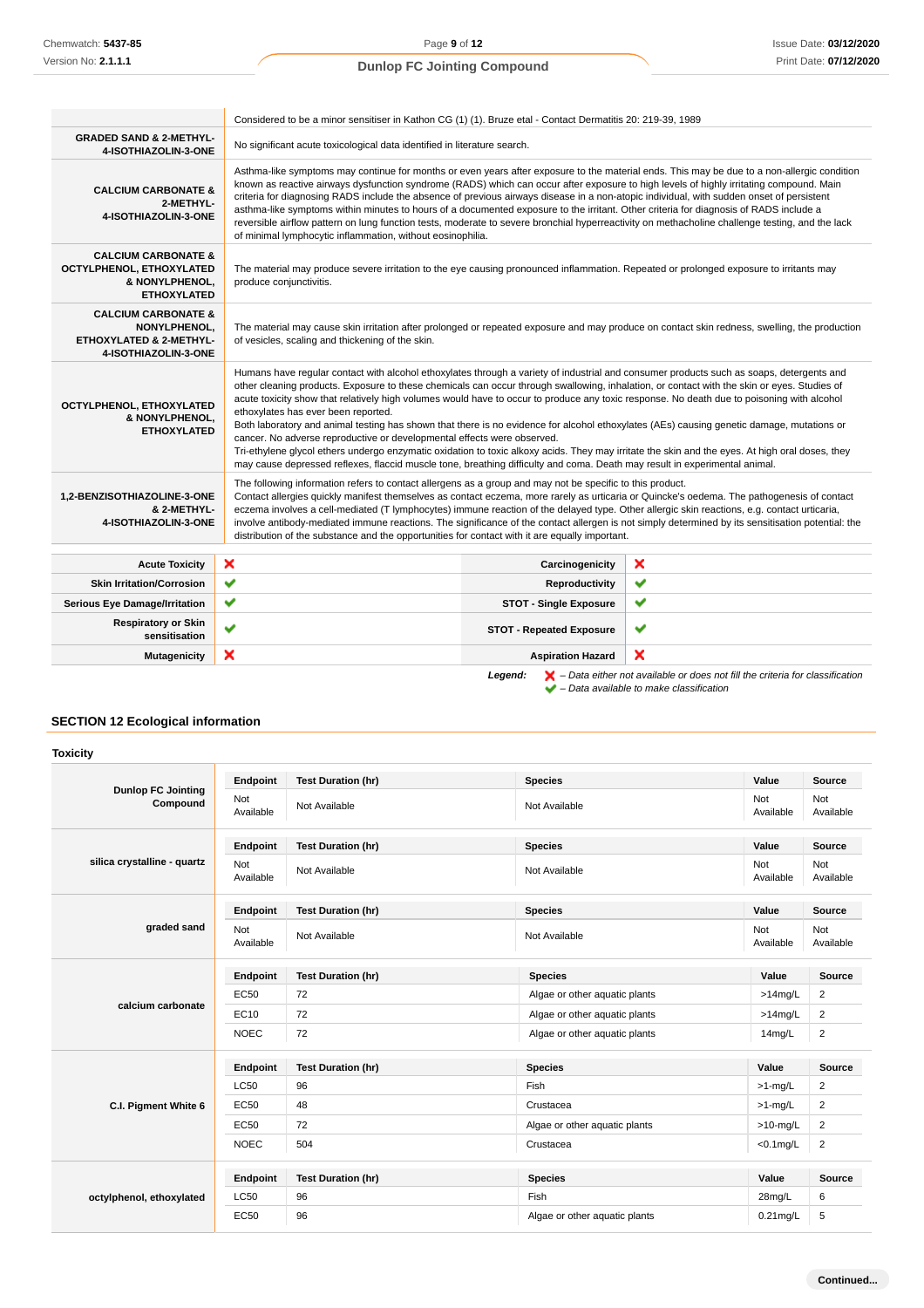|                                                                                                              | Considered to be a minor sensitiser in Kathon CG (1) (1). Bruze etal - Contact Dermatitis 20: 219-39, 1989                                                                                                                                                                                                                                                                                                                                                                                                                                                                                                                                                                                                                                                                                   |                                                                                                                                                                                                                                                                                                                                                                                                                                                                                                                                                                                                                                                                                                                                                                                                                                                                                                                                                |                                                                                                                                               |  |
|--------------------------------------------------------------------------------------------------------------|----------------------------------------------------------------------------------------------------------------------------------------------------------------------------------------------------------------------------------------------------------------------------------------------------------------------------------------------------------------------------------------------------------------------------------------------------------------------------------------------------------------------------------------------------------------------------------------------------------------------------------------------------------------------------------------------------------------------------------------------------------------------------------------------|------------------------------------------------------------------------------------------------------------------------------------------------------------------------------------------------------------------------------------------------------------------------------------------------------------------------------------------------------------------------------------------------------------------------------------------------------------------------------------------------------------------------------------------------------------------------------------------------------------------------------------------------------------------------------------------------------------------------------------------------------------------------------------------------------------------------------------------------------------------------------------------------------------------------------------------------|-----------------------------------------------------------------------------------------------------------------------------------------------|--|
| <b>GRADED SAND &amp; 2-METHYL-</b><br>4-ISOTHIAZOLIN-3-ONE                                                   | No significant acute toxicological data identified in literature search.                                                                                                                                                                                                                                                                                                                                                                                                                                                                                                                                                                                                                                                                                                                     |                                                                                                                                                                                                                                                                                                                                                                                                                                                                                                                                                                                                                                                                                                                                                                                                                                                                                                                                                |                                                                                                                                               |  |
| <b>CALCIUM CARBONATE &amp;</b><br>2-METHYL-<br>4-ISOTHIAZOLIN-3-ONE                                          | Asthma-like symptoms may continue for months or even years after exposure to the material ends. This may be due to a non-allergic condition<br>known as reactive airways dysfunction syndrome (RADS) which can occur after exposure to high levels of highly irritating compound. Main<br>criteria for diagnosing RADS include the absence of previous airways disease in a non-atopic individual, with sudden onset of persistent<br>asthma-like symptoms within minutes to hours of a documented exposure to the irritant. Other criteria for diagnosis of RADS include a<br>reversible airflow pattern on lung function tests, moderate to severe bronchial hyperreactivity on methacholine challenge testing, and the lack<br>of minimal lymphocytic inflammation, without eosinophilia. |                                                                                                                                                                                                                                                                                                                                                                                                                                                                                                                                                                                                                                                                                                                                                                                                                                                                                                                                                |                                                                                                                                               |  |
| <b>CALCIUM CARBONATE &amp;</b><br>OCTYLPHENOL, ETHOXYLATED<br>& NONYLPHENOL,<br><b>ETHOXYLATED</b>           | The material may produce severe irritation to the eye causing pronounced inflammation. Repeated or prolonged exposure to irritants may<br>produce conjunctivitis.                                                                                                                                                                                                                                                                                                                                                                                                                                                                                                                                                                                                                            |                                                                                                                                                                                                                                                                                                                                                                                                                                                                                                                                                                                                                                                                                                                                                                                                                                                                                                                                                |                                                                                                                                               |  |
| <b>CALCIUM CARBONATE &amp;</b><br>NONYLPHENOL.<br><b>ETHOXYLATED &amp; 2-METHYL-</b><br>4-ISOTHIAZOLIN-3-ONE | of vesicles, scaling and thickening of the skin.                                                                                                                                                                                                                                                                                                                                                                                                                                                                                                                                                                                                                                                                                                                                             |                                                                                                                                                                                                                                                                                                                                                                                                                                                                                                                                                                                                                                                                                                                                                                                                                                                                                                                                                | The material may cause skin irritation after prolonged or repeated exposure and may produce on contact skin redness, swelling, the production |  |
| OCTYLPHENOL, ETHOXYLATED<br>& NONYLPHENOL,<br><b>ETHOXYLATED</b>                                             | ethoxylates has ever been reported.                                                                                                                                                                                                                                                                                                                                                                                                                                                                                                                                                                                                                                                                                                                                                          | Humans have regular contact with alcohol ethoxylates through a variety of industrial and consumer products such as soaps, detergents and<br>other cleaning products. Exposure to these chemicals can occur through swallowing, inhalation, or contact with the skin or eyes. Studies of<br>acute toxicity show that relatively high volumes would have to occur to produce any toxic response. No death due to poisoning with alcohol<br>Both laboratory and animal testing has shown that there is no evidence for alcohol ethoxylates (AEs) causing genetic damage, mutations or<br>cancer. No adverse reproductive or developmental effects were observed.<br>Tri-ethylene glycol ethers undergo enzymatic oxidation to toxic alkoxy acids. They may irritate the skin and the eyes. At high oral doses, they<br>may cause depressed reflexes, flaccid muscle tone, breathing difficulty and coma. Death may result in experimental animal. |                                                                                                                                               |  |
| 1,2-BENZISOTHIAZOLINE-3-ONE<br>& 2-METHYL-<br>4-ISOTHIAZOLIN-3-ONE                                           | The following information refers to contact allergens as a group and may not be specific to this product.<br>Contact allergies quickly manifest themselves as contact eczema, more rarely as urticaria or Quincke's oedema. The pathogenesis of contact<br>eczema involves a cell-mediated (T lymphocytes) immune reaction of the delayed type. Other allergic skin reactions, e.g. contact urticaria,<br>involve antibody-mediated immune reactions. The significance of the contact allergen is not simply determined by its sensitisation potential: the<br>distribution of the substance and the opportunities for contact with it are equally important.                                                                                                                                |                                                                                                                                                                                                                                                                                                                                                                                                                                                                                                                                                                                                                                                                                                                                                                                                                                                                                                                                                |                                                                                                                                               |  |
| <b>Acute Toxicity</b>                                                                                        | ×<br>×<br>Carcinogenicity                                                                                                                                                                                                                                                                                                                                                                                                                                                                                                                                                                                                                                                                                                                                                                    |                                                                                                                                                                                                                                                                                                                                                                                                                                                                                                                                                                                                                                                                                                                                                                                                                                                                                                                                                |                                                                                                                                               |  |
| <b>Skin Irritation/Corrosion</b>                                                                             | ✔                                                                                                                                                                                                                                                                                                                                                                                                                                                                                                                                                                                                                                                                                                                                                                                            | Reproductivity                                                                                                                                                                                                                                                                                                                                                                                                                                                                                                                                                                                                                                                                                                                                                                                                                                                                                                                                 | ✔                                                                                                                                             |  |
| <b>Serious Eye Damage/Irritation</b>                                                                         | ✔                                                                                                                                                                                                                                                                                                                                                                                                                                                                                                                                                                                                                                                                                                                                                                                            | <b>STOT - Single Exposure</b>                                                                                                                                                                                                                                                                                                                                                                                                                                                                                                                                                                                                                                                                                                                                                                                                                                                                                                                  | ✔                                                                                                                                             |  |
| <b>Respiratory or Skin</b><br>sensitisation                                                                  | $\checkmark$                                                                                                                                                                                                                                                                                                                                                                                                                                                                                                                                                                                                                                                                                                                                                                                 | <b>STOT - Repeated Exposure</b>                                                                                                                                                                                                                                                                                                                                                                                                                                                                                                                                                                                                                                                                                                                                                                                                                                                                                                                | ✔                                                                                                                                             |  |
| <b>Mutagenicity</b>                                                                                          | ×                                                                                                                                                                                                                                                                                                                                                                                                                                                                                                                                                                                                                                                                                                                                                                                            | <b>Aspiration Hazard</b>                                                                                                                                                                                                                                                                                                                                                                                                                                                                                                                                                                                                                                                                                                                                                                                                                                                                                                                       | ×                                                                                                                                             |  |
|                                                                                                              |                                                                                                                                                                                                                                                                                                                                                                                                                                                                                                                                                                                                                                                                                                                                                                                              |                                                                                                                                                                                                                                                                                                                                                                                                                                                                                                                                                                                                                                                                                                                                                                                                                                                                                                                                                |                                                                                                                                               |  |

**Legend:**  $\mathbf{X}$  – Data either not available or does not fill the criteria for classification

– Data available to make classification

# **SECTION 12 Ecological information**

| <b>Toxicity</b>                                           |                  |                           |                               |                  |                         |
|-----------------------------------------------------------|------------------|---------------------------|-------------------------------|------------------|-------------------------|
|                                                           | Endpoint         | <b>Test Duration (hr)</b> | <b>Species</b>                | Value            | Source                  |
| <b>Dunlop FC Jointing</b><br>Not<br>Compound<br>Available |                  | Not Available             | Not Available                 | Not<br>Available | Not<br>Available        |
|                                                           | Endpoint         | <b>Test Duration (hr)</b> | <b>Species</b>                | Value            | <b>Source</b>           |
| silica crystalline - quartz                               | Not<br>Available | Not Available             | Not Available                 | Not<br>Available | Not<br>Available        |
|                                                           | Endpoint         | <b>Test Duration (hr)</b> | <b>Species</b>                | Value            | <b>Source</b>           |
| graded sand                                               | Not<br>Available | Not Available             | Not Available                 | Not<br>Available | Not<br>Available        |
|                                                           | Endpoint         | <b>Test Duration (hr)</b> | <b>Species</b>                | Value            | Source                  |
|                                                           | EC50             | 72                        | Algae or other aquatic plants | $>14$ mg/L       | $\overline{2}$          |
| calcium carbonate                                         | EC10             | 72                        | Algae or other aquatic plants | $>14$ mg/L       | 2                       |
|                                                           | <b>NOEC</b>      | 72                        | Algae or other aquatic plants | 14mg/L           | $\overline{2}$          |
|                                                           | Endpoint         | <b>Test Duration (hr)</b> | <b>Species</b>                | Value            | Source                  |
|                                                           | <b>LC50</b>      | 96                        | Fish                          | $>1$ -mg/L       | $\overline{\mathbf{c}}$ |
| C.I. Pigment White 6                                      | EC50             | 48                        | Crustacea                     | $>1$ -mg/L       | $\overline{2}$          |
|                                                           | <b>EC50</b>      | 72                        | Algae or other aquatic plants | $>10$ -mg/L      | 2                       |
|                                                           | <b>NOEC</b>      | 504                       | Crustacea                     | $<$ 0.1 $mg/L$   | $\overline{2}$          |
|                                                           | Endpoint         | <b>Test Duration (hr)</b> | <b>Species</b>                | Value            | Source                  |
| octylphenol, ethoxylated                                  | <b>LC50</b>      | 96                        | Fish                          | 28mg/L           | 6                       |
|                                                           | <b>EC50</b>      | 96                        | Algae or other aquatic plants | $0.21$ mg/L      | 5                       |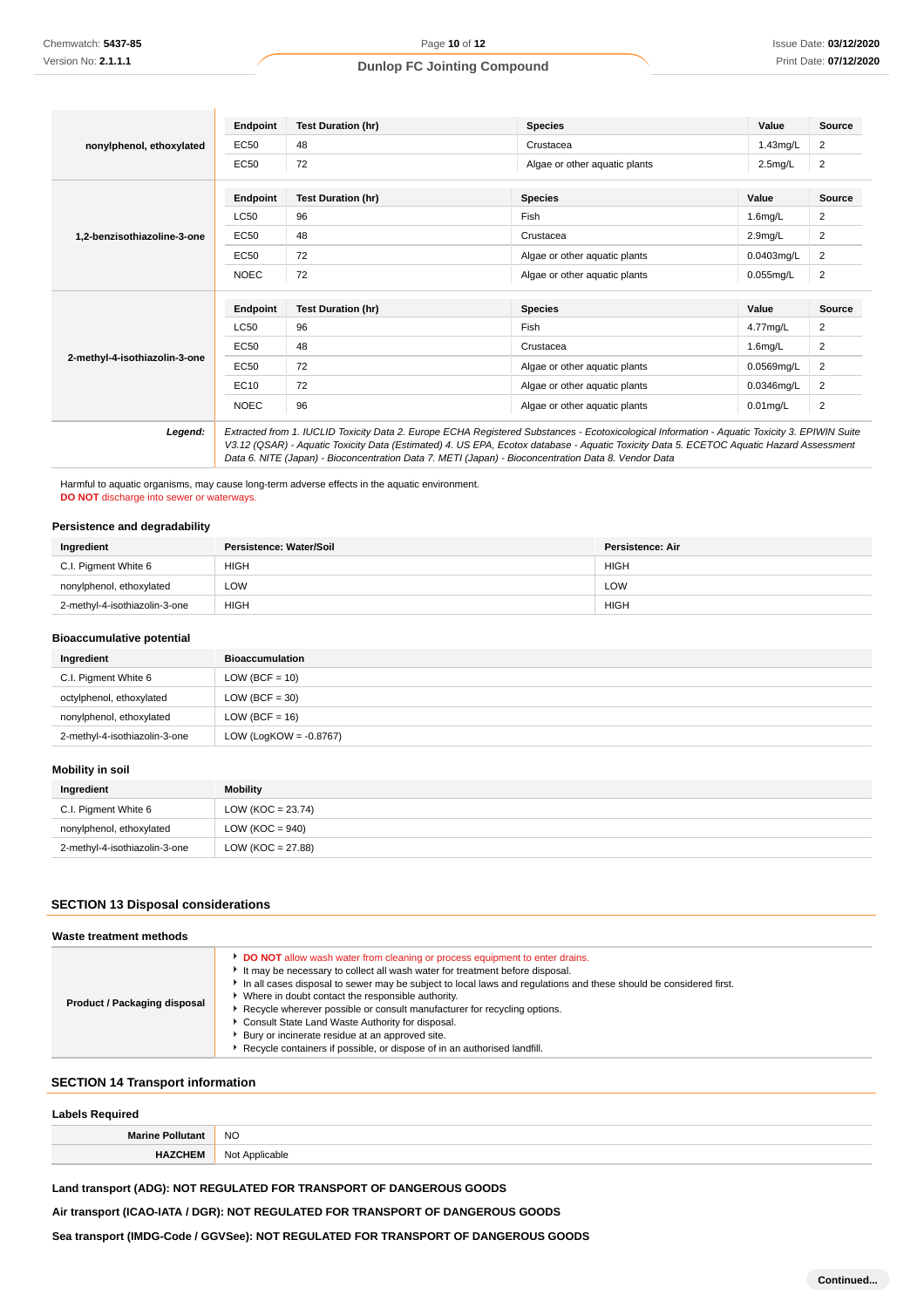|                               | Endpoint    | <b>Test Duration (hr)</b>                                                                                                                                                                                                                                                                                                                                                                       | <b>Species</b>                | Value               | <b>Source</b> |
|-------------------------------|-------------|-------------------------------------------------------------------------------------------------------------------------------------------------------------------------------------------------------------------------------------------------------------------------------------------------------------------------------------------------------------------------------------------------|-------------------------------|---------------------|---------------|
| nonylphenol, ethoxylated      | EC50        | 48                                                                                                                                                                                                                                                                                                                                                                                              | Crustacea                     | 1.43mg/L            | 2             |
|                               | EC50        | 72                                                                                                                                                                                                                                                                                                                                                                                              | Algae or other aquatic plants | $2.5$ mg/L          | 2             |
|                               | Endpoint    | <b>Test Duration (hr)</b>                                                                                                                                                                                                                                                                                                                                                                       | <b>Species</b>                | Value               | <b>Source</b> |
|                               | <b>LC50</b> | 96                                                                                                                                                                                                                                                                                                                                                                                              | Fish                          | $1.6$ mg/L          | 2             |
| 1.2-benzisothiazoline-3-one   | EC50        | 48                                                                                                                                                                                                                                                                                                                                                                                              | Crustacea                     | 2.9 <sub>mg/L</sub> | 2             |
|                               | EC50        | 72                                                                                                                                                                                                                                                                                                                                                                                              | Algae or other aquatic plants | $0.0403$ ma/L       | 2             |
|                               | <b>NOEC</b> | 72                                                                                                                                                                                                                                                                                                                                                                                              | Algae or other aquatic plants | $0.055$ mg/L        | 2             |
|                               | Endpoint    | <b>Test Duration (hr)</b>                                                                                                                                                                                                                                                                                                                                                                       | <b>Species</b>                | Value               | <b>Source</b> |
|                               | <b>LC50</b> | 96                                                                                                                                                                                                                                                                                                                                                                                              | Fish                          | 4.77mg/L            | 2             |
|                               | EC50        | 48                                                                                                                                                                                                                                                                                                                                                                                              | Crustacea                     | 1.6 <sub>mq/L</sub> | 2             |
| 2-methyl-4-isothiazolin-3-one | EC50        | 72                                                                                                                                                                                                                                                                                                                                                                                              | Algae or other aquatic plants | 0.0569mg/L          | 2             |
|                               | <b>EC10</b> | 72                                                                                                                                                                                                                                                                                                                                                                                              | Algae or other aquatic plants | 0.0346mg/L          | 2             |
|                               | <b>NOEC</b> | 96                                                                                                                                                                                                                                                                                                                                                                                              | Algae or other aquatic plants | $0.01$ mg/L         | 2             |
| Legend:                       |             | Extracted from 1. IUCLID Toxicity Data 2. Europe ECHA Registered Substances - Ecotoxicological Information - Aquatic Toxicity 3. EPIWIN Suite<br>V3.12 (QSAR) - Aquatic Toxicity Data (Estimated) 4. US EPA, Ecotox database - Aquatic Toxicity Data 5. ECETOC Aquatic Hazard Assessment<br>Data 6. NITE (Japan) - Bioconcentration Data 7. METI (Japan) - Bioconcentration Data 8. Vendor Data |                               |                     |               |

Harmful to aquatic organisms, may cause long-term adverse effects in the aquatic environment. **DO NOT** discharge into sewer or waterways.

#### **Persistence and degradability**

| Ingredient                    | Persistence: Water/Soil | Persistence: Air |
|-------------------------------|-------------------------|------------------|
| C.I. Pigment White 6          | <b>HIGH</b>             | <b>HIGH</b>      |
| nonylphenol, ethoxylated      | LOW                     | LOW              |
| 2-methyl-4-isothiazolin-3-one | <b>HIGH</b>             | <b>HIGH</b>      |

## **Bioaccumulative potential**

| Ingredient                    | <b>Bioaccumulation</b>    |
|-------------------------------|---------------------------|
| C.I. Pigment White 6          | $LOW (BCF = 10)$          |
| octylphenol, ethoxylated      | LOW (BCF = $30$ )         |
| nonylphenol, ethoxylated      | $LOW (BCF = 16)$          |
| 2-methyl-4-isothiazolin-3-one | LOW (LogKOW = $-0.8767$ ) |

## **Mobility in soil**

| Ingredient                    | Mobility              |
|-------------------------------|-----------------------|
| C.I. Pigment White 6          | LOW (KOC = $23.74$ )  |
| nonylphenol, ethoxylated      | LOW ( $KOC = 940$ )   |
| 2-methyl-4-isothiazolin-3-one | LOW ( $KOC = 27.88$ ) |

## **SECTION 13 Disposal considerations**

#### **Waste treatment methods**

| Product / Packaging disposal | DO NOT allow wash water from cleaning or process equipment to enter drains.<br>It may be necessary to collect all wash water for treatment before disposal.<br>In all cases disposal to sewer may be subject to local laws and regulations and these should be considered first.<br>Where in doubt contact the responsible authority.<br>Recycle wherever possible or consult manufacturer for recycling options.<br>Consult State Land Waste Authority for disposal.<br>Bury or incinerate residue at an approved site.<br>Recycle containers if possible, or dispose of in an authorised landfill. |
|------------------------------|------------------------------------------------------------------------------------------------------------------------------------------------------------------------------------------------------------------------------------------------------------------------------------------------------------------------------------------------------------------------------------------------------------------------------------------------------------------------------------------------------------------------------------------------------------------------------------------------------|
|------------------------------|------------------------------------------------------------------------------------------------------------------------------------------------------------------------------------------------------------------------------------------------------------------------------------------------------------------------------------------------------------------------------------------------------------------------------------------------------------------------------------------------------------------------------------------------------------------------------------------------------|

## **SECTION 14 Transport information**

| <b>Labels Required</b>  |                |  |
|-------------------------|----------------|--|
| <b>Marine Pollutant</b> | <b>NO</b>      |  |
| ΗA                      | Not Applicable |  |

# **Land transport (ADG): NOT REGULATED FOR TRANSPORT OF DANGEROUS GOODS**

## **Air transport (ICAO-IATA / DGR): NOT REGULATED FOR TRANSPORT OF DANGEROUS GOODS**

**Sea transport (IMDG-Code / GGVSee): NOT REGULATED FOR TRANSPORT OF DANGEROUS GOODS**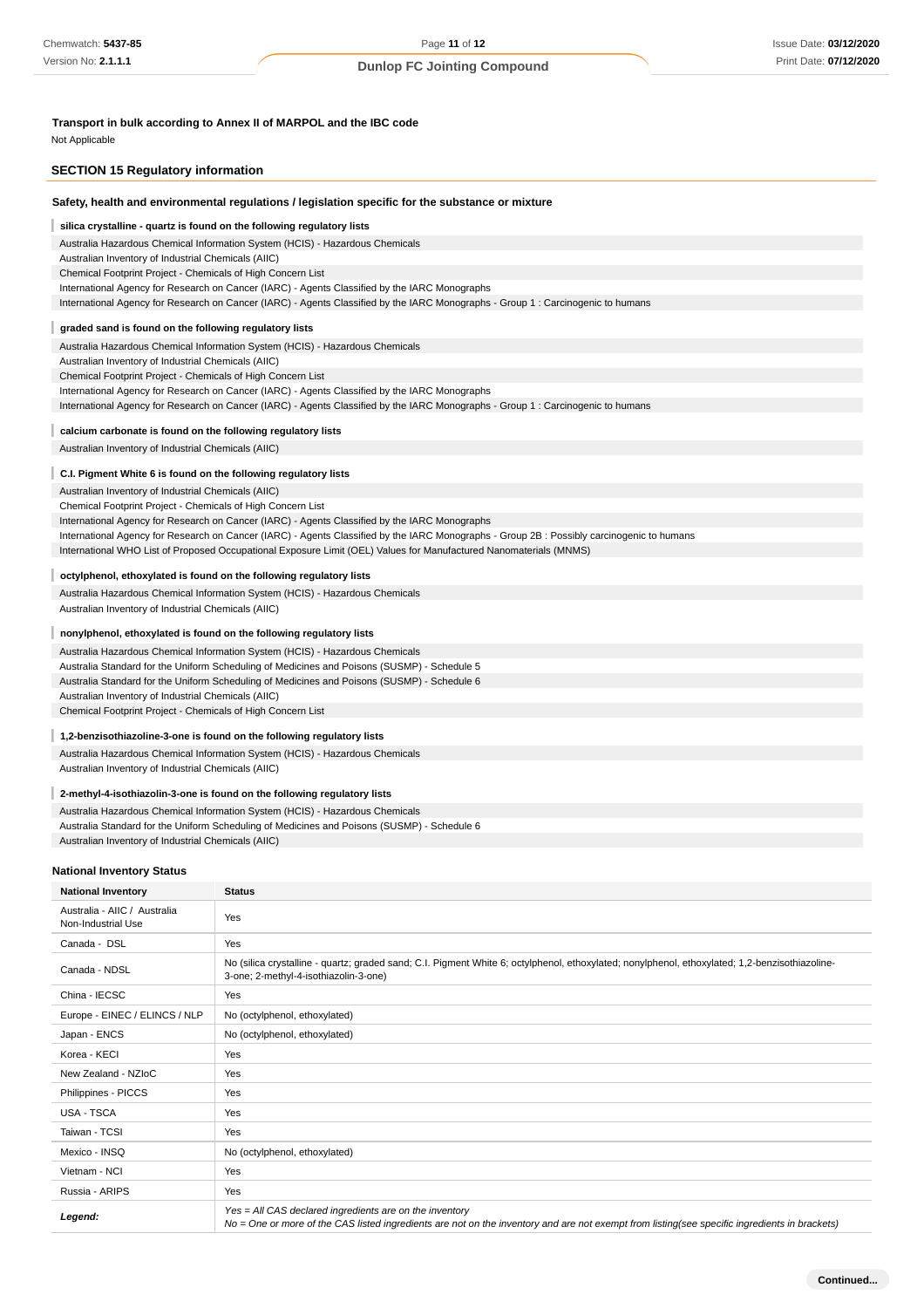**Transport in bulk according to Annex II of MARPOL and the IBC code**

Not Applicable

| <b>SECTION 15 Regulatory information</b>                                                                                                                                                                                                                                                                                                                                                                                                                                                                         |                                                                                                                                                                                                                                                                                                                                                                 |  |  |  |
|------------------------------------------------------------------------------------------------------------------------------------------------------------------------------------------------------------------------------------------------------------------------------------------------------------------------------------------------------------------------------------------------------------------------------------------------------------------------------------------------------------------|-----------------------------------------------------------------------------------------------------------------------------------------------------------------------------------------------------------------------------------------------------------------------------------------------------------------------------------------------------------------|--|--|--|
|                                                                                                                                                                                                                                                                                                                                                                                                                                                                                                                  | Safety, health and environmental regulations / legislation specific for the substance or mixture                                                                                                                                                                                                                                                                |  |  |  |
| silica crystalline - quartz is found on the following regulatory lists<br>Australia Hazardous Chemical Information System (HCIS) - Hazardous Chemicals<br>Australian Inventory of Industrial Chemicals (AIIC)<br>Chemical Footprint Project - Chemicals of High Concern List<br>International Agency for Research on Cancer (IARC) - Agents Classified by the IARC Monographs<br>International Agency for Research on Cancer (IARC) - Agents Classified by the IARC Monographs - Group 1: Carcinogenic to humans |                                                                                                                                                                                                                                                                                                                                                                 |  |  |  |
|                                                                                                                                                                                                                                                                                                                                                                                                                                                                                                                  |                                                                                                                                                                                                                                                                                                                                                                 |  |  |  |
| graded sand is found on the following regulatory lists<br>Australia Hazardous Chemical Information System (HCIS) - Hazardous Chemicals<br>Australian Inventory of Industrial Chemicals (AIIC)<br>Chemical Footprint Project - Chemicals of High Concern List<br>International Agency for Research on Cancer (IARC) - Agents Classified by the IARC Monographs<br>International Agency for Research on Cancer (IARC) - Agents Classified by the IARC Monographs - Group 1: Carcinogenic to humans                 |                                                                                                                                                                                                                                                                                                                                                                 |  |  |  |
| calcium carbonate is found on the following regulatory lists                                                                                                                                                                                                                                                                                                                                                                                                                                                     |                                                                                                                                                                                                                                                                                                                                                                 |  |  |  |
| Australian Inventory of Industrial Chemicals (AIIC)                                                                                                                                                                                                                                                                                                                                                                                                                                                              |                                                                                                                                                                                                                                                                                                                                                                 |  |  |  |
| C.I. Pigment White 6 is found on the following regulatory lists<br>Australian Inventory of Industrial Chemicals (AIIC)<br>Chemical Footprint Project - Chemicals of High Concern List                                                                                                                                                                                                                                                                                                                            | International Agency for Research on Cancer (IARC) - Agents Classified by the IARC Monographs<br>International Agency for Research on Cancer (IARC) - Agents Classified by the IARC Monographs - Group 2B: Possibly carcinogenic to humans<br>International WHO List of Proposed Occupational Exposure Limit (OEL) Values for Manufactured Nanomaterials (MNMS) |  |  |  |
|                                                                                                                                                                                                                                                                                                                                                                                                                                                                                                                  | octylphenol, ethoxylated is found on the following regulatory lists                                                                                                                                                                                                                                                                                             |  |  |  |
| Australian Inventory of Industrial Chemicals (AIIC)                                                                                                                                                                                                                                                                                                                                                                                                                                                              | Australia Hazardous Chemical Information System (HCIS) - Hazardous Chemicals                                                                                                                                                                                                                                                                                    |  |  |  |
|                                                                                                                                                                                                                                                                                                                                                                                                                                                                                                                  |                                                                                                                                                                                                                                                                                                                                                                 |  |  |  |
| nonylphenol, ethoxylated is found on the following regulatory lists<br>Australia Hazardous Chemical Information System (HCIS) - Hazardous Chemicals<br>Australia Standard for the Uniform Scheduling of Medicines and Poisons (SUSMP) - Schedule 5<br>Australia Standard for the Uniform Scheduling of Medicines and Poisons (SUSMP) - Schedule 6<br>Australian Inventory of Industrial Chemicals (AIIC)<br>Chemical Footprint Project - Chemicals of High Concern List                                          |                                                                                                                                                                                                                                                                                                                                                                 |  |  |  |
|                                                                                                                                                                                                                                                                                                                                                                                                                                                                                                                  |                                                                                                                                                                                                                                                                                                                                                                 |  |  |  |
| 1,2-benzisothiazoline-3-one is found on the following regulatory lists<br>Australia Hazardous Chemical Information System (HCIS) - Hazardous Chemicals<br>Australian Inventory of Industrial Chemicals (AIIC)                                                                                                                                                                                                                                                                                                    |                                                                                                                                                                                                                                                                                                                                                                 |  |  |  |
| 2-methyl-4-isothiazolin-3-one is found on the following regulatory lists<br>Australia Hazardous Chemical Information System (HCIS) - Hazardous Chemicals<br>Australia Standard for the Uniform Scheduling of Medicines and Poisons (SUSMP) - Schedule 6<br>Australian Inventory of Industrial Chemicals (AIIC)                                                                                                                                                                                                   |                                                                                                                                                                                                                                                                                                                                                                 |  |  |  |
| <b>National Inventory Status</b>                                                                                                                                                                                                                                                                                                                                                                                                                                                                                 |                                                                                                                                                                                                                                                                                                                                                                 |  |  |  |
| <b>National Inventory</b>                                                                                                                                                                                                                                                                                                                                                                                                                                                                                        | <b>Status</b>                                                                                                                                                                                                                                                                                                                                                   |  |  |  |
| Australia - AIIC / Australia<br>Non-Industrial Use                                                                                                                                                                                                                                                                                                                                                                                                                                                               | Yes                                                                                                                                                                                                                                                                                                                                                             |  |  |  |
| Canada - DSL                                                                                                                                                                                                                                                                                                                                                                                                                                                                                                     | Yes                                                                                                                                                                                                                                                                                                                                                             |  |  |  |
| Canada - NDSL                                                                                                                                                                                                                                                                                                                                                                                                                                                                                                    | No (silica crystalline - quartz; graded sand; C.I. Pigment White 6; octylphenol, ethoxylated; nonylphenol, ethoxylated; 1,2-benzisothiazoline-<br>3-one; 2-methyl-4-isothiazolin-3-one)                                                                                                                                                                         |  |  |  |
| China - IECSC                                                                                                                                                                                                                                                                                                                                                                                                                                                                                                    | Yes                                                                                                                                                                                                                                                                                                                                                             |  |  |  |
| Europe - EINEC / ELINCS / NLP                                                                                                                                                                                                                                                                                                                                                                                                                                                                                    | No (octylphenol, ethoxylated)                                                                                                                                                                                                                                                                                                                                   |  |  |  |
| Japan - ENCS                                                                                                                                                                                                                                                                                                                                                                                                                                                                                                     | No (octylphenol, ethoxylated)                                                                                                                                                                                                                                                                                                                                   |  |  |  |
| Korea - KECI                                                                                                                                                                                                                                                                                                                                                                                                                                                                                                     | Yes                                                                                                                                                                                                                                                                                                                                                             |  |  |  |
| New Zealand - NZIoC                                                                                                                                                                                                                                                                                                                                                                                                                                                                                              | Yes                                                                                                                                                                                                                                                                                                                                                             |  |  |  |
| Philippines - PICCS                                                                                                                                                                                                                                                                                                                                                                                                                                                                                              | Yes                                                                                                                                                                                                                                                                                                                                                             |  |  |  |
| USA - TSCA                                                                                                                                                                                                                                                                                                                                                                                                                                                                                                       | Yes                                                                                                                                                                                                                                                                                                                                                             |  |  |  |
| Taiwan - TCSI                                                                                                                                                                                                                                                                                                                                                                                                                                                                                                    | Yes                                                                                                                                                                                                                                                                                                                                                             |  |  |  |
| Mexico - INSQ                                                                                                                                                                                                                                                                                                                                                                                                                                                                                                    | No (octylphenol, ethoxylated)                                                                                                                                                                                                                                                                                                                                   |  |  |  |
| Vietnam - NCI                                                                                                                                                                                                                                                                                                                                                                                                                                                                                                    | Yes                                                                                                                                                                                                                                                                                                                                                             |  |  |  |
| Russia - ARIPS                                                                                                                                                                                                                                                                                                                                                                                                                                                                                                   | Yes                                                                                                                                                                                                                                                                                                                                                             |  |  |  |
| Legend:                                                                                                                                                                                                                                                                                                                                                                                                                                                                                                          | Yes = All CAS declared ingredients are on the inventory<br>No = One or more of the CAS listed ingredients are not on the inventory and are not exempt from listing(see specific ingredients in brackets)                                                                                                                                                        |  |  |  |

|  | AS listed ingredients are not on the inventory and are not exempt from listing(see specific ingredients in brackets) |
|--|----------------------------------------------------------------------------------------------------------------------|
|  |                                                                                                                      |